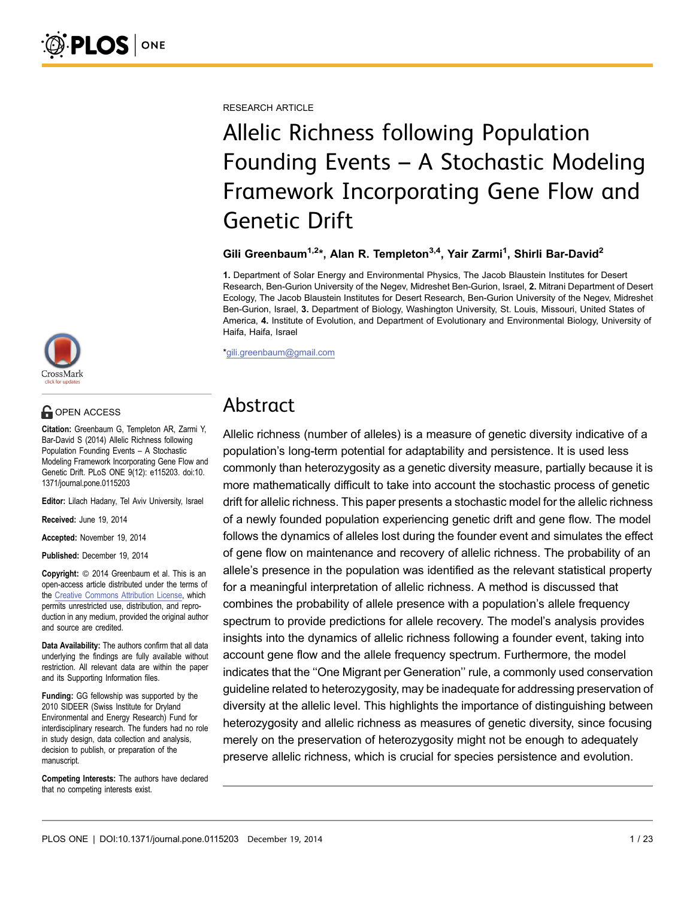RESEARCH ARTICLE

# Allelic Richness following Population Founding Events – A Stochastic Modeling Framework Incorporating Gene Flow and Genetic Drift

#### Gili Greenbaum<sup>1,2\*</sup>, Alan R. Templeton<sup>3,4</sup>, Yair Zarmi<sup>1</sup>, Shirli Bar-David<sup>2</sup>

1. Department of Solar Energy and Environmental Physics, The Jacob Blaustein Institutes for Desert Research, Ben-Gurion University of the Negev, Midreshet Ben-Gurion, Israel, 2. Mitrani Department of Desert Ecology, The Jacob Blaustein Institutes for Desert Research, Ben-Gurion University of the Negev, Midreshet Ben-Gurion, Israel, 3. Department of Biology, Washington University, St. Louis, Missouri, United States of America, 4. Institute of Evolution, and Department of Evolutionary and Environmental Biology, University of Haifa, Haifa, Israel

\*gili.greenbaum@gmail.com

# Abstract

Allelic richness (number of alleles) is a measure of genetic diversity indicative of a population's long-term potential for adaptability and persistence. It is used less commonly than heterozygosity as a genetic diversity measure, partially because it is more mathematically difficult to take into account the stochastic process of genetic drift for allelic richness. This paper presents a stochastic model for the allelic richness of a newly founded population experiencing genetic drift and gene flow. The model follows the dynamics of alleles lost during the founder event and simulates the effect of gene flow on maintenance and recovery of allelic richness. The probability of an allele's presence in the population was identified as the relevant statistical property for a meaningful interpretation of allelic richness. A method is discussed that combines the probability of allele presence with a population's allele frequency spectrum to provide predictions for allele recovery. The model's analysis provides insights into the dynamics of allelic richness following a founder event, taking into account gene flow and the allele frequency spectrum. Furthermore, the model indicates that the ''One Migrant per Generation'' rule, a commonly used conservation guideline related to heterozygosity, may be inadequate for addressing preservation of diversity at the allelic level. This highlights the importance of distinguishing between heterozygosity and allelic richness as measures of genetic diversity, since focusing merely on the preservation of heterozygosity might not be enough to adequately preserve allelic richness, which is crucial for species persistence and evolution.



## **G** OPEN ACCESS

Citation: Greenbaum G, Templeton AR, Zarmi Y, Bar-David S (2014) Allelic Richness following Population Founding Events – A Stochastic Modeling Framework Incorporating Gene Flow and Genetic Drift. PLoS ONE 9(12): e115203. doi:10. 1371/journal.pone.0115203

Editor: Lilach Hadany, Tel Aviv University, Israel

Received: June 19, 2014

Accepted: November 19, 2014

Published: December 19, 2014

**Copyright:** © 2014 Greenbaum et al. This is an open-access article distributed under the terms of the [Creative Commons Attribution License](http://creativecommons.org/licenses/by/4.0/), which permits unrestricted use, distribution, and reproduction in any medium, provided the original author and source are credited.

Data Availability: The authors confirm that all data underlying the findings are fully available without restriction. All relevant data are within the paper and its Supporting Information files.

Funding: GG fellowship was supported by the 2010 SIDEER (Swiss Institute for Dryland Environmental and Energy Research) Fund for interdisciplinary research. The funders had no role in study design, data collection and analysis, decision to publish, or preparation of the manuscript.

Competing Interests: The authors have declared that no competing interests exist.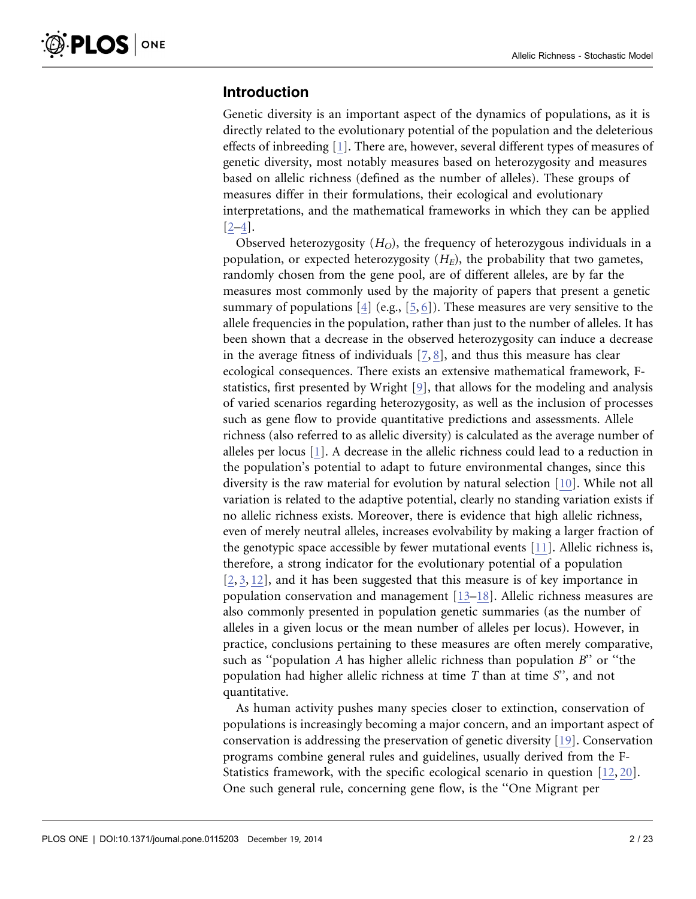#### Introduction

Genetic diversity is an important aspect of the dynamics of populations, as it is directly related to the evolutionary potential of the population and the deleterious effects of inbreeding [\[1\]](#page-20-0). There are, however, several different types of measures of genetic diversity, most notably measures based on heterozygosity and measures based on allelic richness (defined as the number of alleles). These groups of measures differ in their formulations, their ecological and evolutionary interpretations, and the mathematical frameworks in which they can be applied [\[2–4\].](#page-20-0)

Observed heterozygosity  $(H<sub>O</sub>)$ , the frequency of heterozygous individuals in a population, or expected heterozygosity  $(H_E)$ , the probability that two gametes, randomly chosen from the gene pool, are of different alleles, are by far the measures most commonly used by the majority of papers that present a genetic summary of populations [\[4\]](#page-20-0) (e.g., [\[5,](#page-20-0) [6\]\)](#page-20-0). These measures are very sensitive to the allele frequencies in the population, rather than just to the number of alleles. It has been shown that a decrease in the observed heterozygosity can induce a decrease in the average fitness of individuals [\[7,](#page-20-0) [8\]](#page-20-0), and thus this measure has clear ecological consequences. There exists an extensive mathematical framework, Fstatistics, first presented by Wright [\[9\]](#page-20-0), that allows for the modeling and analysis of varied scenarios regarding heterozygosity, as well as the inclusion of processes such as gene flow to provide quantitative predictions and assessments. Allele richness (also referred to as allelic diversity) is calculated as the average number of alleles per locus [\[1\]](#page-20-0). A decrease in the allelic richness could lead to a reduction in the population's potential to adapt to future environmental changes, since this diversity is the raw material for evolution by natural selection [\[10\].](#page-20-0) While not all variation is related to the adaptive potential, clearly no standing variation exists if no allelic richness exists. Moreover, there is evidence that high allelic richness, even of merely neutral alleles, increases evolvability by making a larger fraction of the genotypic space accessible by fewer mutational events [\[11\]](#page-20-0). Allelic richness is, therefore, a strong indicator for the evolutionary potential of a population [\[2,](#page-20-0) [3,](#page-20-0) [12](#page-21-0)[\]](#page-20-0), and it has been suggested that this measure is of key importance in population conservation and management [\[13–18\].](#page-21-0) Allelic richness measures are also commonly presented in population genetic summaries (as the number of alleles in a given locus or the mean number of alleles per locus). However, in practice, conclusions pertaining to these measures are often merely comparative, such as ''population A has higher allelic richness than population B'' or ''the population had higher allelic richness at time  $T$  than at time  $S'$ , and not quantitative.

As human activity pushes many species closer to extinction, conservation of populations is increasingly becoming a major concern, and an important aspect of conservation is addressing the preservation of genetic diversity [\[19\]](#page-21-0). Conservation programs combine general rules and guidelines, usually derived from the F-Statistics framework, with the specific ecological scenario in question [\[12,](#page-21-0) [20\].](#page-21-0) One such general rule, concerning gene flow, is the ''One Migrant per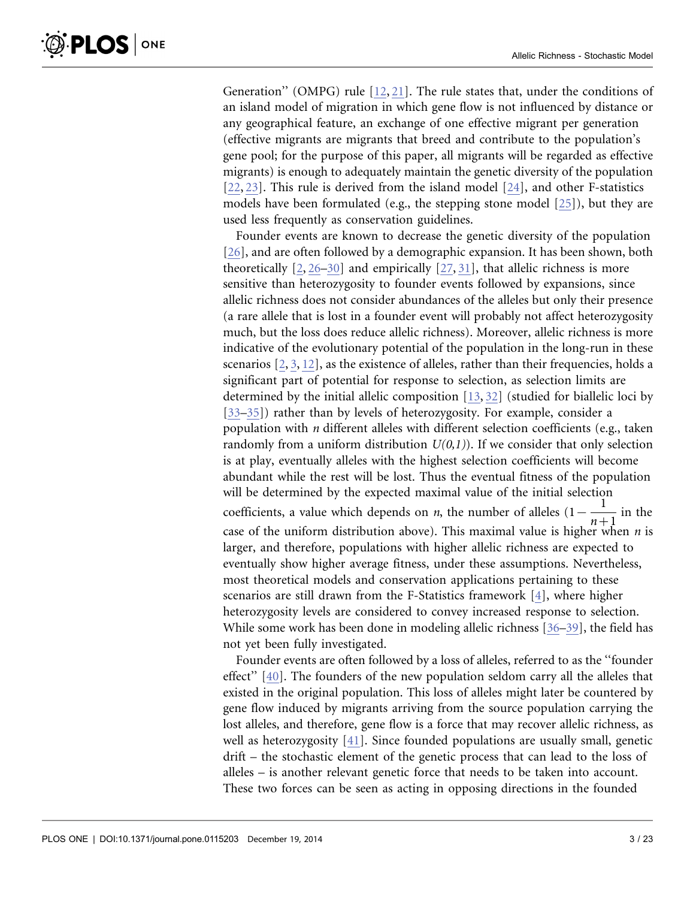Generation'' (OMPG) rule [\[12,](#page-21-0) [21\]](#page-21-0). The rule states that, under the conditions of an island model of migration in which gene flow is not influenced by distance or any geographical feature, an exchange of one effective migrant per generation (effective migrants are migrants that breed and contribute to the population's gene pool; for the purpose of this paper, all migrants will be regarded as effective migrants) is enough to adequately maintain the genetic diversity of the population [\[22,](#page-21-0) [23\]](#page-21-0). This rule is derived from the island model [\[24\],](#page-21-0) and other F-statistics models have been formulated (e.g., the stepping stone model [\[25\]](#page-21-0)), but they are used less frequently as conservation guidelines.

Founder events are known to decrease the genetic diversity of the population [\[26\],](#page-21-0) and are often followed by a demographic expansion. It has been shown, both theoretically  $[2, 26-30]$  $[2, 26-30]$  and empirically  $[27, 31]$ , that allelic richness is more sensitive than heterozygosity to founder events followed by expansions, since allelic richness does not consider abundances of the alleles but only their presence (a rare allele that is lost in a founder event will probably not affect heterozygosity much, but the loss does reduce allelic richness). Moreover, allelic richness is more indicative of the evolutionary potential of the population in the long-run in these scenarios  $[2, 3, 12]$  $[2, 3, 12]$  $[2, 3, 12]$  $[2, 3, 12]$  $[2, 3, 12]$ , as the existence of alleles, rather than their frequencies, holds a significant part of potential for response to selection, as selection limits are determined by the initial allelic composition [\[13,](#page-21-0) [32\]](#page-21-0) (studied for biallelic loci by [\[33–35\]\)](#page-21-0) rather than by levels of heterozygosity. For example, consider a population with *n* different alleles with different selection coefficients (e.g., taken randomly from a uniform distribution  $U(0,1)$ ). If we consider that only selection is at play, eventually alleles with the highest selection coefficients will become abundant while the rest will be lost. Thus the eventual fitness of the population will be determined by the expected maximal value of the initial selection coefficients, a value which depends on *n*, the number of alleles  $(1 - \frac{1}{n+1})$  in the case of the uniform distribution above). This maximal value is higher when  $n$  is larger, and therefore, populations with higher allelic richness are expected to eventually show higher average fitness, under these assumptions. Nevertheless, most theoretical models and conservation applications pertaining to these scenarios are still drawn from the F-Statistics framework [\[4\],](#page-20-0) where higher heterozygosity levels are considered to convey increased response to selection. While some work has been done in modeling allelic richness [\[36–](#page-21-0)[39](#page-22-0)[\],](#page-21-0) the field has not yet been fully investigated.

Founder events are often followed by a loss of alleles, referred to as the ''founder effect'' [\[40\].](#page-22-0) The founders of the new population seldom carry all the alleles that existed in the original population. This loss of alleles might later be countered by gene flow induced by migrants arriving from the source population carrying the lost alleles, and therefore, gene flow is a force that may recover allelic richness, as well as heterozygosity [\[41\].](#page-22-0) Since founded populations are usually small, genetic drift – the stochastic element of the genetic process that can lead to the loss of alleles – is another relevant genetic force that needs to be taken into account. These two forces can be seen as acting in opposing directions in the founded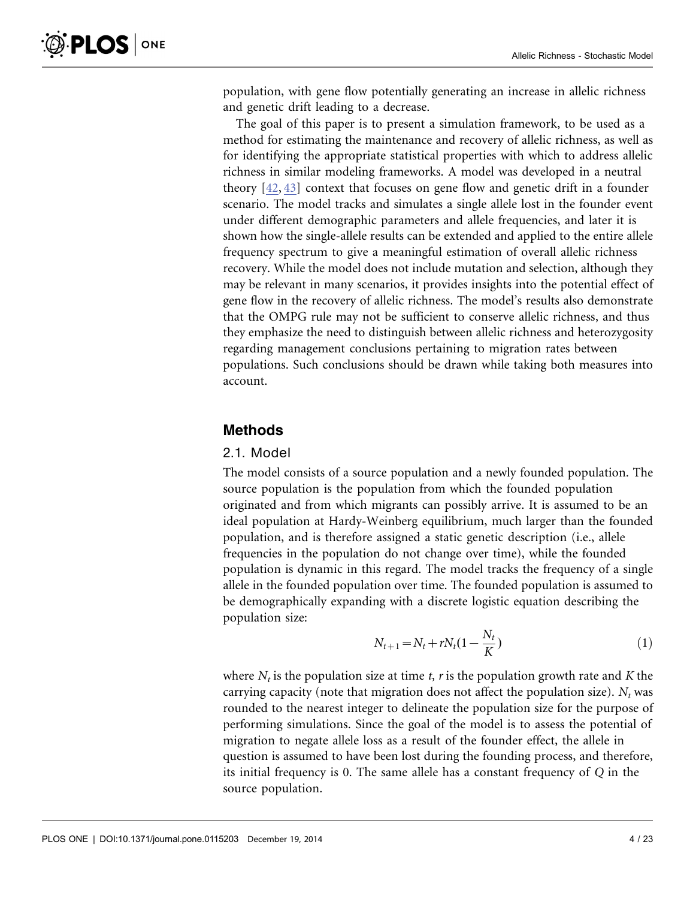population, with gene flow potentially generating an increase in allelic richness and genetic drift leading to a decrease.

The goal of this paper is to present a simulation framework, to be used as a method for estimating the maintenance and recovery of allelic richness, as well as for identifying the appropriate statistical properties with which to address allelic richness in similar modeling frameworks. A model was developed in a neutral theory [\[42,](#page-22-0) [43\]](#page-22-0) context that focuses on gene flow and genetic drift in a founder scenario. The model tracks and simulates a single allele lost in the founder event under different demographic parameters and allele frequencies, and later it is shown how the single-allele results can be extended and applied to the entire allele frequency spectrum to give a meaningful estimation of overall allelic richness recovery. While the model does not include mutation and selection, although they may be relevant in many scenarios, it provides insights into the potential effect of gene flow in the recovery of allelic richness. The model's results also demonstrate that the OMPG rule may not be sufficient to conserve allelic richness, and thus they emphasize the need to distinguish between allelic richness and heterozygosity regarding management conclusions pertaining to migration rates between populations. Such conclusions should be drawn while taking both measures into account.

#### Methods

#### 2.1. Model

The model consists of a source population and a newly founded population. The source population is the population from which the founded population originated and from which migrants can possibly arrive. It is assumed to be an ideal population at Hardy-Weinberg equilibrium, much larger than the founded population, and is therefore assigned a static genetic description (i.e., allele frequencies in the population do not change over time), while the founded population is dynamic in this regard. The model tracks the frequency of a single allele in the founded population over time. The founded population is assumed to be demographically expanding with a discrete logistic equation describing the population size:

$$
N_{t+1} = N_t + rN_t(1 - \frac{N_t}{K})
$$
\n(1)

where  $N_t$  is the population size at time t, r is the population growth rate and K the carrying capacity (note that migration does not affect the population size).  $N_t$  was rounded to the nearest integer to delineate the population size for the purpose of performing simulations. Since the goal of the model is to assess the potential of migration to negate allele loss as a result of the founder effect, the allele in question is assumed to have been lost during the founding process, and therefore, its initial frequency is 0. The same allele has a constant frequency of Q in the source population.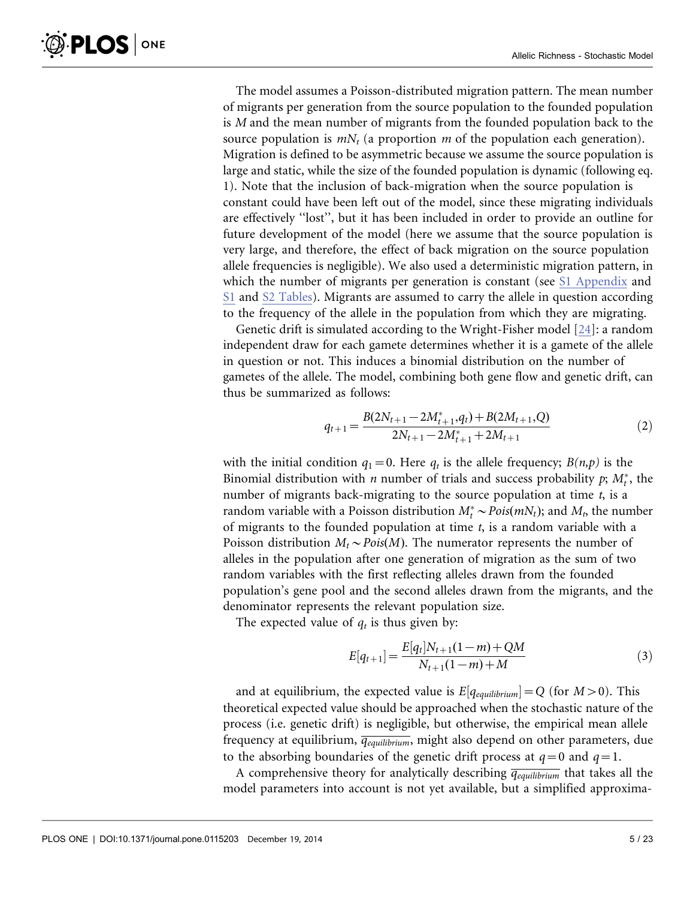<span id="page-4-0"></span>The model assumes a Poisson-distributed migration pattern. The mean number of migrants per generation from the source population to the founded population is M and the mean number of migrants from the founded population back to the source population is  $mN_t$  (a proportion m of the population each generation). Migration is defined to be asymmetric because we assume the source population is large and static, while the size of the founded population is dynamic (following eq. 1). Note that the inclusion of back-migration when the source population is constant could have been left out of the model, since these migrating individuals are effectively ''lost'', but it has been included in order to provide an outline for future development of the model (here we assume that the source population is very large, and therefore, the effect of back migration on the source population allele frequencies is negligible). We also used a deterministic migration pattern, in which the number of migrants per generation is constant (see [S1 Appendix](#page-18-0) and [S1](#page-19-0) and [S2 Tables\)](#page-20-0). Migrants are assumed to carry the allele in question according to the frequency of the allele in the population from which they are migrating.

Genetic drift is simulated according to the Wright-Fisher model [\[24\]:](#page-21-0) a random independent draw for each gamete determines whether it is a gamete of the allele in question or not. This induces a binomial distribution on the number of gametes of the allele. The model, combining both gene flow and genetic drift, can thus be summarized as follows:

$$
q_{t+1} = \frac{B(2N_{t+1} - 2M_{t+1}^*, q_t) + B(2M_{t+1}, Q)}{2N_{t+1} - 2M_{t+1}^* + 2M_{t+1}}
$$
(2)

with the initial condition  $q_1=0$ . Here  $q_t$  is the allele frequency;  $B(n,p)$  is the Binomial distribution with *n* number of trials and success probability  $p$ ;  $M_t^*$ , the number of migrants back-migrating to the source population at time  $t$ , is a random variable with a Poisson distribution  $M_t^* \sim \text{Pois}(mN_t)$ ; and  $M_t$ , the number of migrants to the founded population at time  $t$ , is a random variable with a Poisson distribution  $M_t \sim Pois(M)$ . The numerator represents the number of alleles in the population after one generation of migration as the sum of two random variables with the first reflecting alleles drawn from the founded population's gene pool and the second alleles drawn from the migrants, and the denominator represents the relevant population size.

The expected value of  $q_t$  is thus given by:

$$
E[q_{t+1}] = \frac{E[q_t]N_{t+1}(1-m) + QM}{N_{t+1}(1-m) + M}
$$
\n(3)

and at equilibrium, the expected value is  $E[q_{equilibrium}] = Q$  (for  $M > 0$ ). This theoretical expected value should be approached when the stochastic nature of the process (i.e. genetic drift) is negligible, but otherwise, the empirical mean allele frequency at equilibrium,  $\overline{q_{equilibrium}}$ , might also depend on other parameters, due to the absorbing boundaries of the genetic drift process at  $q=0$  and  $q=1$ .

A comprehensive theory for analytically describing  $\overline{q_{equilibrium}}$  that takes all the model parameters into account is not yet available, but a simplified approxima-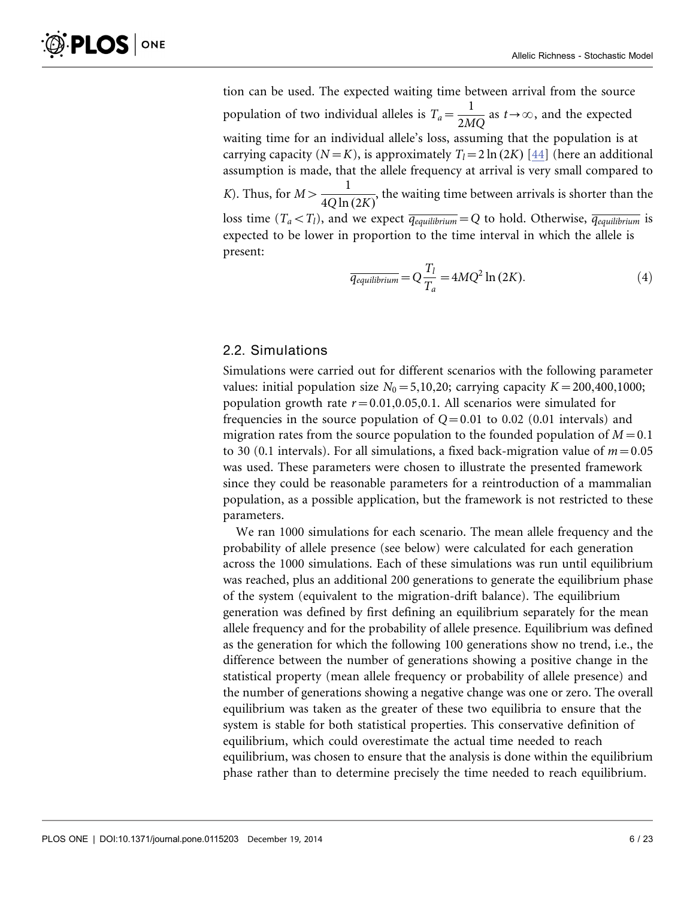<span id="page-5-0"></span>tion can be used. The expected waiting time between arrival from the source population of two individual alleles is  $T_a = \frac{1}{2MQ}$  as  $t \rightarrow \infty$ , and the expected waiting time for an individual allele's loss, assuming that the population is at carrying capacity ( $N=K$ ), is approximately  $T<sub>l</sub>=2 \ln (2K)$  [\[44\]](#page-22-0) (here an additional assumption is made, that the allele frequency at arrival is very small compared to K). Thus, for  $M > \frac{1}{40 \log n}$  $\frac{1}{4Q\ln(2K)}$ , the waiting time between arrivals is shorter than the loss time  $(T_a < T_l)$ , and we expect  $\overline{q_{equilibrium}} = Q$  to hold. Otherwise,  $\overline{q_{equilibrium}}$  is expected to be lower in proportion to the time interval in which the allele is present:

$$
\overline{q_{equilibrium}} = Q \frac{T_l}{T_a} = 4MQ^2 \ln(2K). \tag{4}
$$

#### 2.2. Simulations

Simulations were carried out for different scenarios with the following parameter values: initial population size  $N_0 = 5,10,20$ ; carrying capacity  $K = 200,400,1000$ ; population growth rate  $r=0.01,0.05,0.1$ . All scenarios were simulated for frequencies in the source population of  $Q=0.01$  to 0.02 (0.01 intervals) and migration rates from the source population to the founded population of  $M=0.1$ to 30 (0.1 intervals). For all simulations, a fixed back-migration value of  $m=0.05$ was used. These parameters were chosen to illustrate the presented framework since they could be reasonable parameters for a reintroduction of a mammalian population, as a possible application, but the framework is not restricted to these parameters.

We ran 1000 simulations for each scenario. The mean allele frequency and the probability of allele presence (see below) were calculated for each generation across the 1000 simulations. Each of these simulations was run until equilibrium was reached, plus an additional 200 generations to generate the equilibrium phase of the system (equivalent to the migration-drift balance). The equilibrium generation was defined by first defining an equilibrium separately for the mean allele frequency and for the probability of allele presence. Equilibrium was defined as the generation for which the following 100 generations show no trend, i.e., the difference between the number of generations showing a positive change in the statistical property (mean allele frequency or probability of allele presence) and the number of generations showing a negative change was one or zero. The overall equilibrium was taken as the greater of these two equilibria to ensure that the system is stable for both statistical properties. This conservative definition of equilibrium, which could overestimate the actual time needed to reach equilibrium, was chosen to ensure that the analysis is done within the equilibrium phase rather than to determine precisely the time needed to reach equilibrium.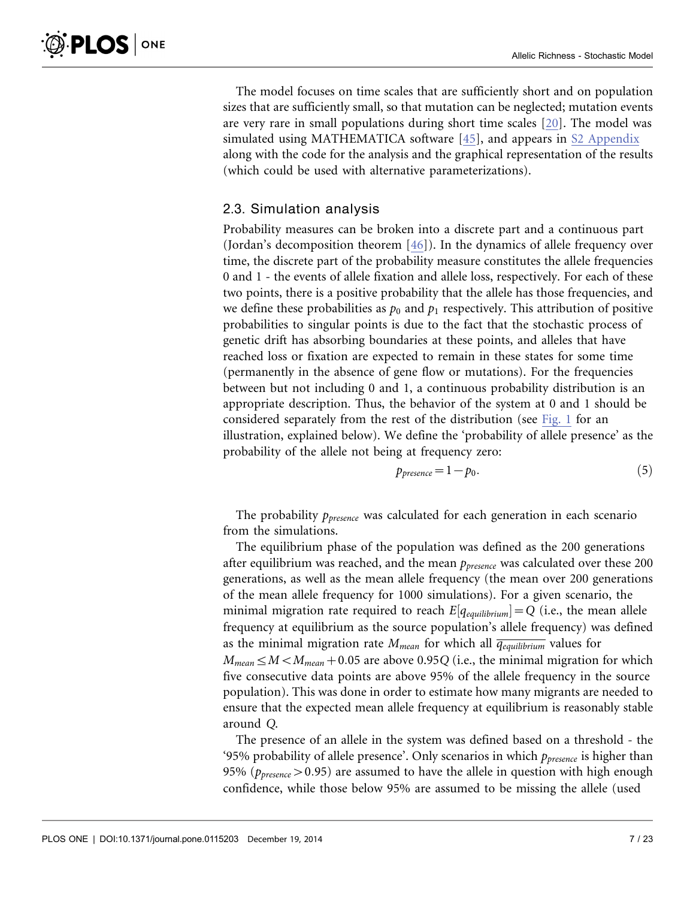<span id="page-6-0"></span>The model focuses on time scales that are sufficiently short and on population sizes that are sufficiently small, so that mutation can be neglected; mutation events are very rare in small populations during short time scales [\[20\].](#page-21-0) The model was simulated using MATHEMATICA software [\[45\],](#page-22-0) and appears in [S2 Appendix](#page-18-0) along with the code for the analysis and the graphical representation of the results (which could be used with alternative parameterizations).

#### 2.3. Simulation analysis

Probability measures can be broken into a discrete part and a continuous part (Jordan's decomposition theorem [\[46\]\)](#page-22-0). In the dynamics of allele frequency over time, the discrete part of the probability measure constitutes the allele frequencies 0 and 1 - the events of allele fixation and allele loss, respectively. For each of these two points, there is a positive probability that the allele has those frequencies, and we define these probabilities as  $p_0$  and  $p_1$  respectively. This attribution of positive probabilities to singular points is due to the fact that the stochastic process of genetic drift has absorbing boundaries at these points, and alleles that have reached loss or fixation are expected to remain in these states for some time (permanently in the absence of gene flow or mutations). For the frequencies between but not including 0 and 1, a continuous probability distribution is an appropriate description. Thus, the behavior of the system at 0 and 1 should be considered separately from the rest of the distribution (see [Fig. 1](#page-7-0) for an illustration, explained below). We define the 'probability of allele presence' as the probability of the allele not being at frequency zero:

$$
p_{presence} = 1 - p_0. \tag{5}
$$

The probability  $p_{\text{presence}}$  was calculated for each generation in each scenario from the simulations.

The equilibrium phase of the population was defined as the 200 generations after equilibrium was reached, and the mean  $p_{\text{presence}}$  was calculated over these 200 generations, as well as the mean allele frequency (the mean over 200 generations of the mean allele frequency for 1000 simulations). For a given scenario, the minimal migration rate required to reach  $E[q_{equilibrium}] = Q$  (i.e., the mean allele frequency at equilibrium as the source population's allele frequency) was defined as the minimal migration rate  $M_{mean}$  for which all  $\overline{q_{equilibrium}}$  values for  $M_{mean} \leq M \leq M_{mean} + 0.05$  are above 0.95Q (i.e., the minimal migration for which five consecutive data points are above 95% of the allele frequency in the source population). This was done in order to estimate how many migrants are needed to ensure that the expected mean allele frequency at equilibrium is reasonably stable around Q.

The presence of an allele in the system was defined based on a threshold - the '95% probability of allele presence'. Only scenarios in which  $p_{\text{presence}}$  is higher than 95% ( $p_{\text{presence}} > 0.95$ ) are assumed to have the allele in question with high enough confidence, while those below 95% are assumed to be missing the allele (used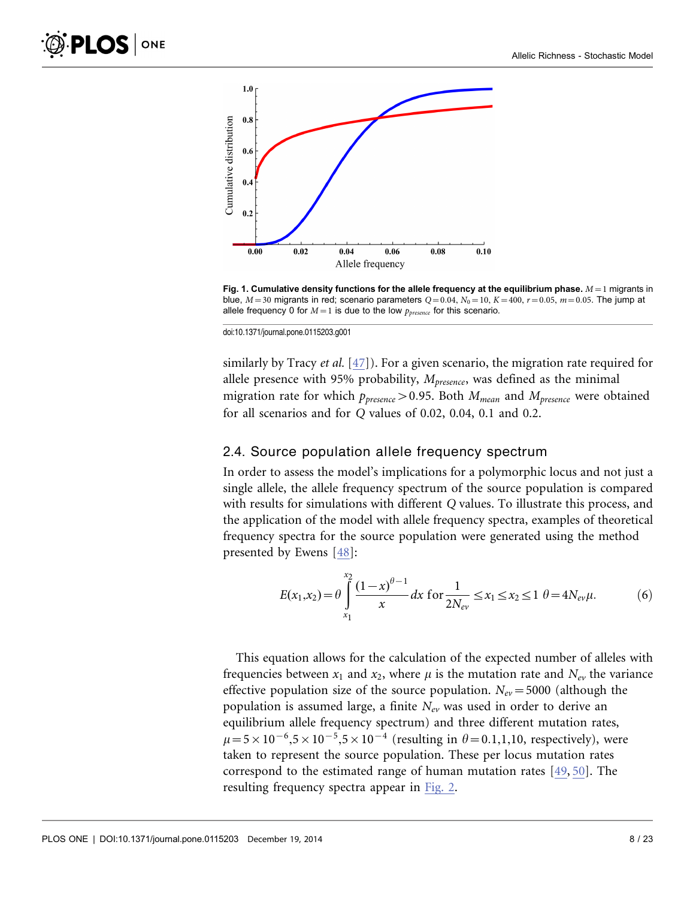<span id="page-7-0"></span>

Fig. 1. Cumulative density functions for the allele frequency at the equilibrium phase.  $M=1$  migrants in blue,  $M=30$  migrants in red; scenario parameters  $Q=0.04$ ,  $N_0=10$ ,  $K=400$ ,  $r=0.05$ ,  $m=0.05$ . The jump at allele frequency 0 for  $M=1$  is due to the low  $p_{presence}$  for this scenario.

doi:10.1371/journal.pone.0115203.g001

similarly by Tracy *et al.* [\[47\]\)](#page-22-0). For a given scenario, the migration rate required for allele presence with 95% probability,  $M_{presence}$ , was defined as the minimal migration rate for which  $p_{\text{presence}} > 0.95$ . Both  $M_{\text{mean}}$  and  $M_{\text{presence}}$  were obtained for all scenarios and for Q values of 0.02, 0.04, 0.1 and 0.2.

#### 2.4. Source population allele frequency spectrum

In order to assess the model's implications for a polymorphic locus and not just a single allele, the allele frequency spectrum of the source population is compared with results for simulations with different Q values. To illustrate this process, and the application of the model with allele frequency spectra, examples of theoretical frequency spectra for the source population were generated using the method presented by Ewens [\[48\]:](#page-22-0)

$$
E(x_1, x_2) = \theta \int_{x_1}^{x_2} \frac{(1-x)^{\theta-1}}{x} dx \text{ for } \frac{1}{2N_{ev}} \le x_1 \le x_2 \le 1 \ \theta = 4N_{ev}\mu.
$$
 (6)

This equation allows for the calculation of the expected number of alleles with frequencies between  $x_1$  and  $x_2$ , where  $\mu$  is the mutation rate and  $N_{ev}$  the variance effective population size of the source population.  $N_{ev}$  = 5000 (although the population is assumed large, a finite  $N_{ev}$  was used in order to derive an equilibrium allele frequency spectrum) and three different mutation rates,  $\mu$ =5 × 10<sup>-6</sup>,5 × 10<sup>-5</sup>,5 × 10<sup>-4</sup> (resulting in  $\theta$  = 0.1,1,10, respectively), were taken to represent the source population. These per locus mutation rates correspond to the estimated range of human mutation rates [\[49,](#page-22-0) [50\]](#page-22-0). The resulting frequency spectra appear in [Fig. 2](#page-8-0).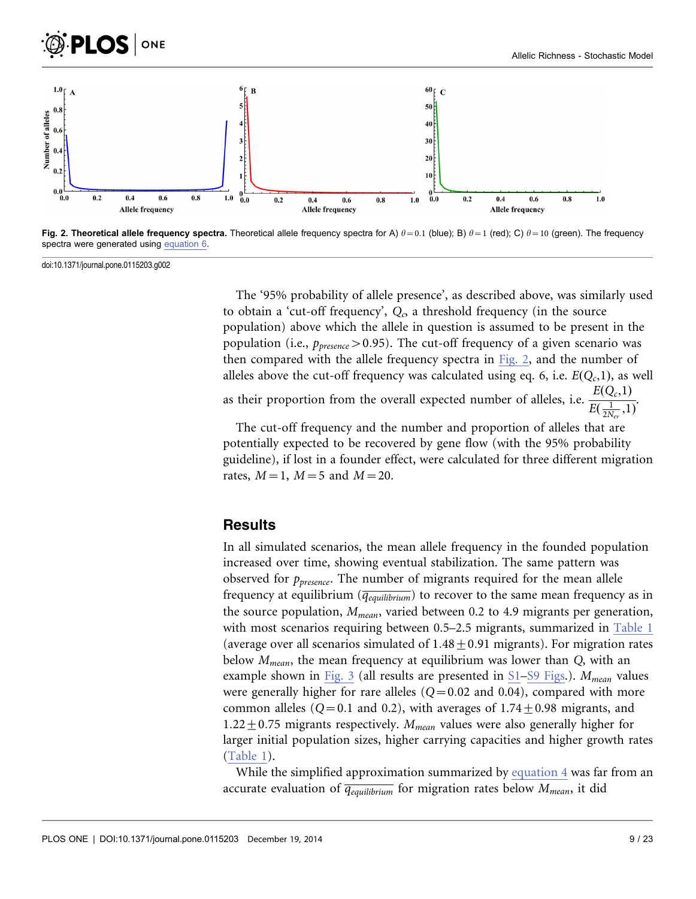<span id="page-8-0"></span>



Fig. 2. Theoretical allele frequency spectra. Theoretical allele frequency spectra for A)  $\theta = 0.1$  (blue); B)  $\theta = 1$  (red); C)  $\theta = 10$  (green). The frequency spectra were generated using [equation 6.](#page-7-0)

doi:10.1371/journal.pone.0115203.g002

The '95% probability of allele presence', as described above, was similarly used to obtain a 'cut-off frequency',  $Q_{\alpha}$  a threshold frequency (in the source population) above which the allele in question is assumed to be present in the population (i.e.,  $p_{\text{presence}} > 0.95$ ). The cut-off frequency of a given scenario was then compared with the allele frequency spectra in Fig. 2, and the number of alleles above the cut-off frequency was calculated using eq. 6, i.e.  $E(Q_c,1)$ , as well

as their proportion from the overall expected number of alleles, i.e.  $\frac{E(Q_c,1)}{E(-1,1)}$  $\frac{E(\frac{1}{2N_{ev}},1)}{E(\frac{1}{2N_{ev}},1)}$ 

The cut-off frequency and the number and proportion of alleles that are potentially expected to be recovered by gene flow (with the 95% probability guideline), if lost in a founder effect, were calculated for three different migration rates,  $M=1$ ,  $M=5$  and  $M=20$ .

#### **Results**

In all simulated scenarios, the mean allele frequency in the founded population increased over time, showing eventual stabilization. The same pattern was observed for  $p_{\text{presence}}$ . The number of migrants required for the mean allele frequency at equilibrium ( $\overline{q_{equilibrium}}$ ) to recover to the same mean frequency as in the source population,  $M_{mean}$ , varied between 0.2 to 4.9 migrants per generation, with most scenarios requiring between 0.5–2.5 migrants, summarized in [Table 1](#page-9-0) (average over all scenarios simulated of  $1.48 \pm 0.91$  migrants). For migration rates below  $M_{mean}$ , the mean frequency at equilibrium was lower than  $Q$ , with an example shown in [Fig. 3](#page-10-0) (all results are presented in [S1](#page-18-0)[–S9 Figs](#page-19-0).).  $M_{mean}$  values were generally higher for rare alleles  $(Q=0.02$  and 0.04), compared with more common alleles ( $Q=0.1$  and 0.2), with averages of  $1.74 \pm 0.98$  migrants, and  $1.22 \pm 0.75$  migrants respectively.  $M_{mean}$  values were also generally higher for larger initial population sizes, higher carrying capacities and higher growth rates ([Table 1](#page-9-0)).

While the simplified approximation summarized by [equation 4](#page-5-0) [was far from an](#page-5-0) [accurate evaluation of](#page-5-0)  $\overline{q_{equilibrium}}$  [for migration rates below](#page-5-0)  $M_{mean}$ [, it did](#page-5-0)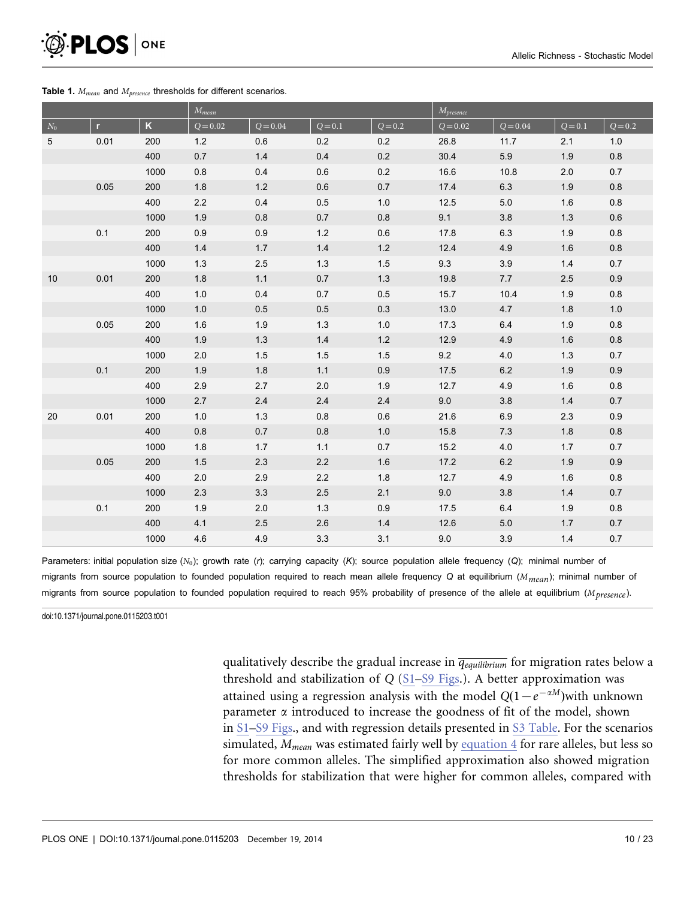<span id="page-9-0"></span>

#### Table 1.  $M_{mean}$  and  $M_{presence}$  thresholds for different scenarios.

|                 |              |                         | $M_{mean}$ |            |           |           | $\overline{M_{presence}}$ |            |           |           |
|-----------------|--------------|-------------------------|------------|------------|-----------|-----------|---------------------------|------------|-----------|-----------|
| $\mathcal{N}_0$ | $\mathbf{r}$ | $\overline{\mathsf{K}}$ | $Q = 0.02$ | $Q = 0.04$ | $Q = 0.1$ | $Q = 0.2$ | $Q = 0.02$                | $Q = 0.04$ | $Q = 0.1$ | $Q = 0.2$ |
| $\sqrt{5}$      | 0.01         | 200                     | 1.2        | 0.6        | 0.2       | 0.2       | 26.8                      | 11.7       | 2.1       | 1.0       |
|                 |              | 400                     | 0.7        | 1.4        | 0.4       | 0.2       | 30.4                      | 5.9        | 1.9       | $0.8\,$   |
|                 |              | 1000                    | $0.8\,$    | 0.4        | 0.6       | 0.2       | 16.6                      | 10.8       | 2.0       | 0.7       |
|                 | 0.05         | 200                     | 1.8        | 1.2        | 0.6       | 0.7       | 17.4                      | 6.3        | 1.9       | 0.8       |
|                 |              | 400                     | $2.2\,$    | 0.4        | 0.5       | $1.0$     | 12.5                      | $5.0\,$    | 1.6       | $0.8\,$   |
|                 |              | 1000                    | 1.9        | 0.8        | 0.7       | 0.8       | 9.1                       | 3.8        | 1.3       | $0.6\,$   |
|                 | 0.1          | 200                     | 0.9        | 0.9        | $1.2$     | 0.6       | 17.8                      | 6.3        | 1.9       | 0.8       |
|                 |              | 400                     | $1.4$      | 1.7        | 1.4       | $1.2\,$   | 12.4                      | 4.9        | 1.6       | $0.8\,$   |
|                 |              | 1000                    | 1.3        | $2.5\,$    | 1.3       | 1.5       | 9.3                       | 3.9        | 1.4       | 0.7       |
| 10              | 0.01         | 200                     | 1.8        | 1.1        | 0.7       | 1.3       | 19.8                      | 7.7        | 2.5       | 0.9       |
|                 |              | 400                     | $1.0\,$    | 0.4        | 0.7       | $0.5\,$   | 15.7                      | 10.4       | 1.9       | $0.8\,$   |
|                 |              | 1000                    | 1.0        | 0.5        | 0.5       | 0.3       | 13.0                      | 4.7        | 1.8       | 1.0       |
|                 | 0.05         | 200                     | 1.6        | 1.9        | 1.3       | $1.0$     | 17.3                      | 6.4        | 1.9       | 0.8       |
|                 |              | 400                     | 1.9        | $1.3$      | 1.4       | $1.2\,$   | 12.9                      | 4.9        | 1.6       | $0.8\,$   |
|                 |              | 1000                    | 2.0        | 1.5        | 1.5       | 1.5       | 9.2                       | 4.0        | 1.3       | 0.7       |
|                 | 0.1          | 200                     | 1.9        | 1.8        | 1.1       | 0.9       | 17.5                      | 6.2        | 1.9       | 0.9       |
|                 |              | 400                     | 2.9        | 2.7        | 2.0       | 1.9       | 12.7                      | 4.9        | 1.6       | 0.8       |
|                 |              | 1000                    | 2.7        | 2.4        | 2.4       | 2.4       | 9.0                       | 3.8        | 1.4       | 0.7       |
| 20              | 0.01         | 200                     | 1.0        | 1.3        | 0.8       | 0.6       | 21.6                      | 6.9        | 2.3       | 0.9       |
|                 |              | 400                     | 0.8        | 0.7        | 0.8       | $1.0$     | 15.8                      | 7.3        | 1.8       | $0.8\,$   |
|                 |              | 1000                    | 1.8        | 1.7        | 1.1       | 0.7       | 15.2                      | 4.0        | 1.7       | 0.7       |
|                 | 0.05         | 200                     | 1.5        | 2.3        | $2.2\,$   | 1.6       | 17.2                      | $6.2\,$    | 1.9       | 0.9       |
|                 |              | 400                     | 2.0        | 2.9        | 2.2       | 1.8       | 12.7                      | 4.9        | 1.6       | 0.8       |
|                 |              | 1000                    | 2.3        | 3.3        | 2.5       | 2.1       | 9.0                       | 3.8        | 1.4       | 0.7       |
|                 | 0.1          | 200                     | $1.9$      | 2.0        | 1.3       | 0.9       | 17.5                      | 6.4        | 1.9       | $0.8\,$   |
|                 |              | 400                     | 4.1        | 2.5        | 2.6       | 1.4       | 12.6                      | $5.0$      | 1.7       | 0.7       |
|                 |              | 1000                    | 4.6        | 4.9        | 3.3       | 3.1       | 9.0                       | 3.9        | 1.4       | 0.7       |

Parameters: initial population size (N<sub>0</sub>); growth rate (r); carrying capacity (K); source population allele frequency (Q); minimal number of migrants from source population to founded population required to reach mean allele frequency Q at equilibrium (M<sub>mean</sub>); minimal number of migrants from source population to founded population required to reach 95% probability of presence of the allele at equilibrium (M<sub>presence</sub>).

doi:10.1371/journal.pone.0115203.t001

[qualitatively describe the gradual increase in](#page-5-0)  $\overline{q_{equilibrium}}$  [for migration rates below a](#page-5-0) [threshold and stabilization of](#page-5-0) Q ([S1](#page-18-0)[–](#page-5-0)[S9 Figs](#page-19-0)[.\). A better approximation was](#page-5-0) [attained using a regression analysis with the model](#page-5-0)  $Q(1-e^{-\alpha M})$ [with unknown](#page-5-0) parameter  $\alpha$  [introduced to increase the goodness of fit of the model, shown](#page-5-0) [in](#page-5-0) [S1](#page-18-0)[–](#page-5-0)[S9 Figs](#page-19-0)[., and with regression details presented in](#page-5-0) [S3 Table](#page-20-0)[. For the scenarios](#page-5-0) [simulated,](#page-5-0)  $M_{mean}$  [was estimated fairly well by](#page-5-0) [equation 4](#page-5-0) [for rare alleles, but less so](#page-5-0) [for more common alleles. The simplified approximation also showed migration](#page-5-0) [thresholds for stabilization that were higher for common alleles, compared with](#page-5-0)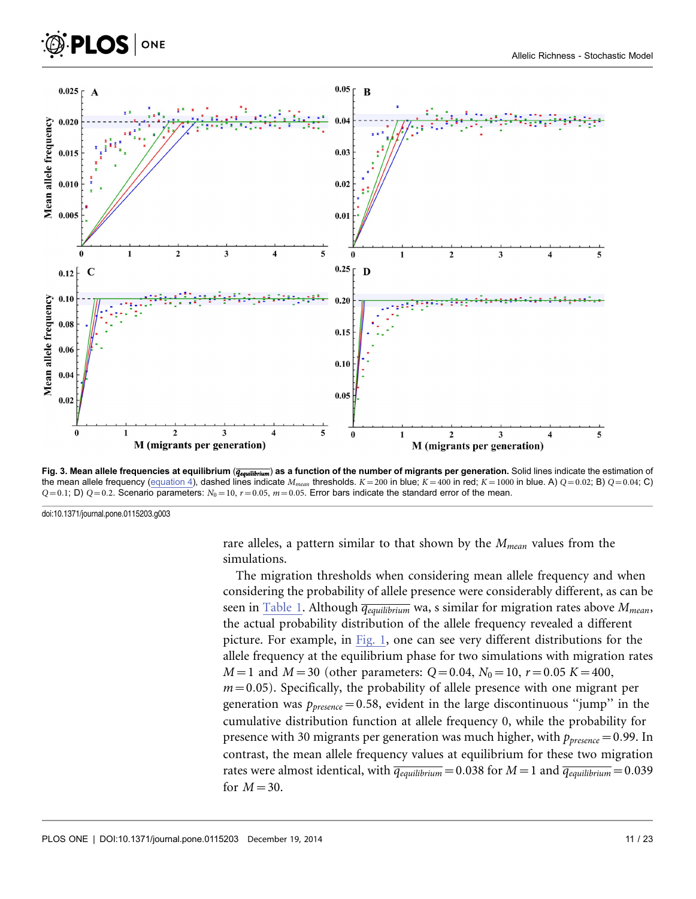<span id="page-10-0"></span>

Fig. 3. Mean allele frequencies at equilibrium ( $\overline{q_{equilibrium}}$ ) as a function of the number of migrants per generation. Solid lines indicate the estimation of the mean allele frequency ([equation 4\), dashed lines indicate](#page-5-0)  $M_{mean}$  [thresholds.](#page-5-0)  $K = 200$  [in blue;](#page-5-0)  $K = 400$  [in red;](#page-5-0)  $K = 1000$  [in blue. A\)](#page-5-0)  $Q = 0.02$ [; B\)](#page-5-0)  $Q = 0.04$ [; C\)](#page-5-0)  $Q=0.1$ [; D\)](#page-5-0)  $Q=0.2$ [. Scenario parameters:](#page-5-0)  $N_0=10$ ,  $r=0.05$ ,  $m=0.05$ [. Error bars indicate the standard error of the mean.](#page-5-0)

doi:10.1371/journal.pone.0115203.g003

**PLOS** ONE

[rare alleles, a pattern similar to that shown by the](#page-5-0)  $M_{mean}$  [values from the](#page-5-0) [simulations.](#page-5-0)

The migration thresholds when considering mean allele frequency and when considering the probability of allele presence were considerably different, as can be seen in [Table 1](#page-9-0). Although  $\overline{q_{equilibrium}}$  wa, s similar for migration rates above  $M_{mean}$ , the actual probability distribution of the allele frequency revealed a different picture. For example, in [Fig. 1,](#page-7-0) one can see very different distributions for the allele frequency at the equilibrium phase for two simulations with migration rates  $M=1$  and  $M=30$  (other parameters:  $Q=0.04$ ,  $N_0=10$ ,  $r=0.05$  K = 400,  $m=0.05$ ). Specifically, the probability of allele presence with one migrant per generation was  $p_{\text{presence}} = 0.58$ , evident in the large discontinuous "jump" in the cumulative distribution function at allele frequency 0, while the probability for presence with 30 migrants per generation was much higher, with  $p_{\text{presence}}=0.99$ . In contrast, the mean allele frequency values at equilibrium for these two migration rates were almost identical, with  $\overline{q_{equilibrium}} = 0.038$  for  $M = 1$  and  $\overline{q_{equilibrium}} = 0.039$ for  $M=30$ .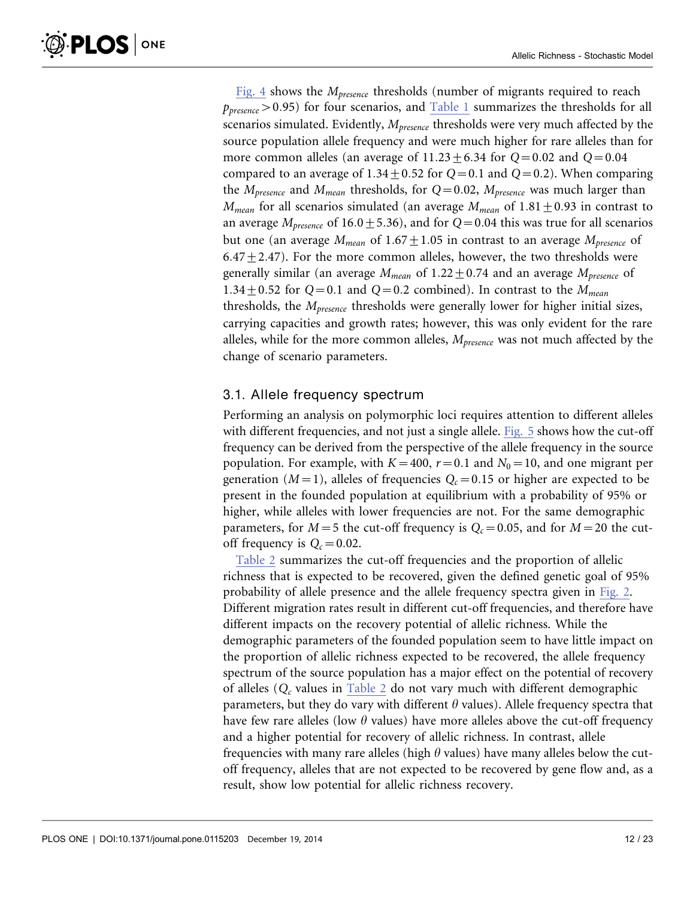[Fig. 4](#page-12-0) shows the  $M_{presence}$  thresholds (number of migrants required to reach  $p_{\text{presence}} > 0.95$ ) for four scenarios, and [Table 1](#page-9-0) summarizes the thresholds for all scenarios simulated. Evidently,  $M_{\text{presence}}$  thresholds were very much affected by the source population allele frequency and were much higher for rare alleles than for more common alleles (an average of  $11.23 \pm 6.34$  for  $Q=0.02$  and  $Q=0.04$ compared to an average of  $1.34 \pm 0.52$  for  $Q=0.1$  and  $Q=0.2$ ). When comparing the  $M_{presence}$  and  $M_{mean}$  thresholds, for Q=0.02,  $M_{presence}$  was much larger than  $M_{mean}$  for all scenarios simulated (an average  $M_{mean}$  of  $1.81 \pm 0.93$  in contrast to an average  $M_{presence}$  of 16.0  $\pm$  5.36), and for Q=0.04 this was true for all scenarios but one (an average  $M_{mean}$  of 1.67  $\pm$ 1.05 in contrast to an average  $M_{presence}$  of 6.47 $\pm$ 2.47). For the more common alleles, however, the two thresholds were generally similar (an average  $M_{mean}$  of 1.22  $\pm$  0.74 and an average  $M_{presence}$  of 1.34  $\pm$  0.52 for Q=0.1 and Q=0.2 combined). In contrast to the  $M_{mean}$ thresholds, the  $M_{presence}$  thresholds were generally lower for higher initial sizes, carrying capacities and growth rates; however, this was only evident for the rare alleles, while for the more common alleles,  $M_{presence}$  was not much affected by the change of scenario parameters.

#### 3.1. Allele frequency spectrum

Performing an analysis on polymorphic loci requires attention to different alleles with different frequencies, and not just a single allele. [Fig. 5](#page-12-0) shows how the cut-off frequency can be derived from the perspective of the allele frequency in the source population. For example, with  $K=400$ ,  $r=0.1$  and  $N_0=10$ , and one migrant per generation ( $M=1$ ), alleles of frequencies  $Q_c=0.15$  or higher are expected to be present in the founded population at equilibrium with a probability of 95% or higher, while alleles with lower frequencies are not. For the same demographic parameters, for  $M=5$  the cut-off frequency is  $Q<sub>c</sub>=0.05$ , and for  $M=20$  the cutoff frequency is  $Q_c = 0.02$ .

[Table 2](#page-13-0) summarizes the cut-off frequencies and the proportion of allelic richness that is expected to be recovered, given the defined genetic goal of 95% probability of allele presence and the allele frequency spectra given in [Fig. 2](#page-8-0). Different migration rates result in different cut-off frequencies, and therefore have different impacts on the recovery potential of allelic richness. While the demographic parameters of the founded population seem to have little impact on the proportion of allelic richness expected to be recovered, the allele frequency spectrum of the source population has a major effect on the potential of recovery of alleles  $(Q_c)$  values in [Table 2](#page-13-0) do not vary much with different demographic parameters, but they do vary with different  $\theta$  values). Allele frequency spectra that have few rare alleles (low  $\theta$  values) have more alleles above the cut-off frequency and a higher potential for recovery of allelic richness. In contrast, allele frequencies with many rare alleles (high  $\theta$  values) have many alleles below the cutoff frequency, alleles that are not expected to be recovered by gene flow and, as a result, show low potential for allelic richness recovery.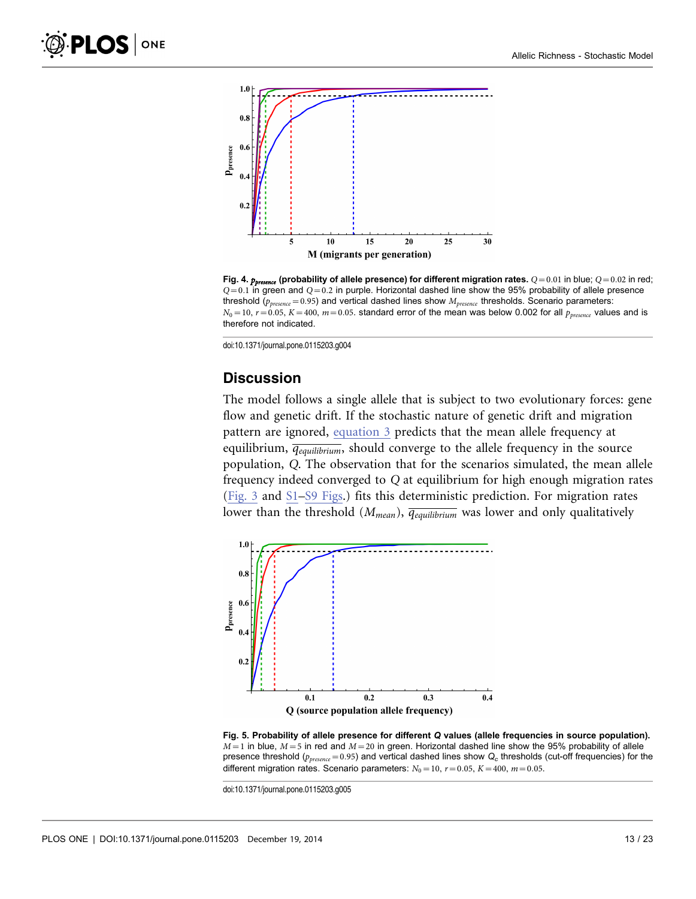<span id="page-12-0"></span>

Fig. 4.  $p_{pressure}$  (probability of allele presence) for different migration rates.  $Q=0.01$  in blue;  $Q=0.02$  in red;  $Q=0.1$  in green and  $Q=0.2$  in purple. Horizontal dashed line show the 95% probability of allele presence threshold ( $p_{presence}=0.95$ ) and vertical dashed lines show  $M_{presence}$  thresholds. Scenario parameters:  $N_0=10$ ,  $r=0.05$ ,  $K=400$ ,  $m=0.05$ . standard error of the mean was below 0.002 for all  $p_{\text{pressure}}$  values and is therefore not indicated.

doi:10.1371/journal.pone.0115203.g004

#### **Discussion**

The model follows a single allele that is subject to two evolutionary forces: gene flow and genetic drift. If the stochastic nature of genetic drift and migration pattern are ignored, [equation 3](#page-4-0) [predicts that the mean allele frequency at](#page-4-0) [equilibrium,](#page-4-0)  $\overline{q_{equilibrium}}$ [, should converge to the allele frequency in the source](#page-4-0) population, Q[. The observation that for the scenarios simulated, the mean allele](#page-4-0) frequency indeed converged to Q [at equilibrium for high enough migration rates](#page-4-0) [\(](#page-4-0)[Fig. 3](#page-10-0) and [S1](#page-18-0)[–S9 Figs.](#page-19-0)) fits this deterministic prediction. For migration rates lower than the threshold ( $M_{mean}$ ),  $\overline{q_{equilibrium}}$  was lower and only qualitatively



Fig. 5. Probability of allele presence for different Q values (allele frequencies in source population).  $M=1$  in blue,  $M=5$  in red and  $M=20$  in green. Horizontal dashed line show the 95% probability of allele presence threshold ( $p_{presence}$ =0.95) and vertical dashed lines show  $Q_c$  thresholds (cut-off frequencies) for the different migration rates. Scenario parameters:  $N_0=10$ ,  $r=0.05$ ,  $K=400$ ,  $m=0.05$ .

doi:10.1371/journal.pone.0115203.g005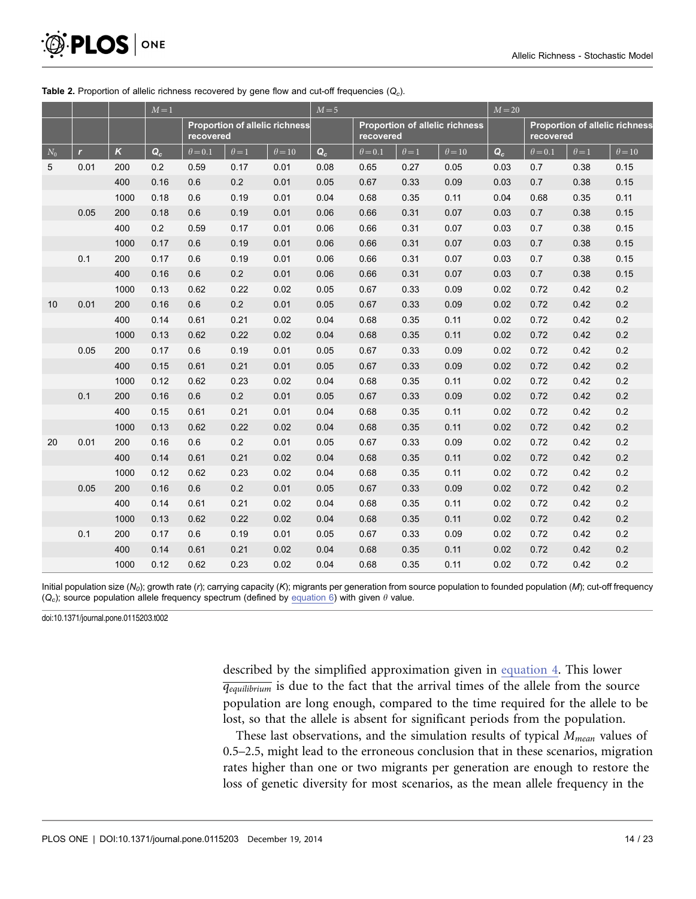|       |              |          | $M=1$ |                                                    |              | $M = 5$       |       |                                                    |              | $M = 20$      |       |                                                    |              |               |
|-------|--------------|----------|-------|----------------------------------------------------|--------------|---------------|-------|----------------------------------------------------|--------------|---------------|-------|----------------------------------------------------|--------------|---------------|
|       |              |          |       | <b>Proportion of allelic richness</b><br>recovered |              |               |       | <b>Proportion of allelic richness</b><br>recovered |              |               |       | <b>Proportion of allelic richness</b><br>recovered |              |               |
| $N_0$ | $\mathbf{r}$ | $\kappa$ | $Q_c$ | $\theta = 0.1$                                     | $\theta = 1$ | $\theta = 10$ | $Q_c$ | $\theta = 0.1$                                     | $\theta = 1$ | $\theta = 10$ | $Q_c$ | $\theta = 0.1$                                     | $\theta = 1$ | $\theta = 10$ |
| 5     | 0.01         | 200      | 0.2   | 0.59                                               | 0.17         | 0.01          | 0.08  | 0.65                                               | 0.27         | 0.05          | 0.03  | 0.7                                                | 0.38         | 0.15          |
|       |              | 400      | 0.16  | 0.6                                                | 0.2          | 0.01          | 0.05  | 0.67                                               | 0.33         | 0.09          | 0.03  | 0.7                                                | 0.38         | 0.15          |
|       |              | 1000     | 0.18  | 0.6                                                | 0.19         | 0.01          | 0.04  | 0.68                                               | 0.35         | 0.11          | 0.04  | 0.68                                               | 0.35         | 0.11          |
|       | 0.05         | 200      | 0.18  | 0.6                                                | 0.19         | 0.01          | 0.06  | 0.66                                               | 0.31         | 0.07          | 0.03  | 0.7                                                | 0.38         | 0.15          |
|       |              | 400      | 0.2   | 0.59                                               | 0.17         | 0.01          | 0.06  | 0.66                                               | 0.31         | 0.07          | 0.03  | 0.7                                                | 0.38         | 0.15          |
|       |              | 1000     | 0.17  | 0.6                                                | 0.19         | 0.01          | 0.06  | 0.66                                               | 0.31         | 0.07          | 0.03  | 0.7                                                | 0.38         | 0.15          |
|       | 0.1          | 200      | 0.17  | 0.6                                                | 0.19         | 0.01          | 0.06  | 0.66                                               | 0.31         | 0.07          | 0.03  | 0.7                                                | 0.38         | 0.15          |
|       |              | 400      | 0.16  | 0.6                                                | 0.2          | 0.01          | 0.06  | 0.66                                               | 0.31         | 0.07          | 0.03  | 0.7                                                | 0.38         | 0.15          |
|       |              | 1000     | 0.13  | 0.62                                               | 0.22         | 0.02          | 0.05  | 0.67                                               | 0.33         | 0.09          | 0.02  | 0.72                                               | 0.42         | 0.2           |
| 10    | 0.01         | 200      | 0.16  | 0.6                                                | 0.2          | 0.01          | 0.05  | 0.67                                               | 0.33         | 0.09          | 0.02  | 0.72                                               | 0.42         | 0.2           |
|       |              | 400      | 0.14  | 0.61                                               | 0.21         | 0.02          | 0.04  | 0.68                                               | 0.35         | 0.11          | 0.02  | 0.72                                               | 0.42         | 0.2           |
|       |              | 1000     | 0.13  | 0.62                                               | 0.22         | 0.02          | 0.04  | 0.68                                               | 0.35         | 0.11          | 0.02  | 0.72                                               | 0.42         | 0.2           |
|       | 0.05         | 200      | 0.17  | 0.6                                                | 0.19         | 0.01          | 0.05  | 0.67                                               | 0.33         | 0.09          | 0.02  | 0.72                                               | 0.42         | 0.2           |
|       |              | 400      | 0.15  | 0.61                                               | 0.21         | 0.01          | 0.05  | 0.67                                               | 0.33         | 0.09          | 0.02  | 0.72                                               | 0.42         | 0.2           |
|       |              | 1000     | 0.12  | 0.62                                               | 0.23         | 0.02          | 0.04  | 0.68                                               | 0.35         | 0.11          | 0.02  | 0.72                                               | 0.42         | 0.2           |
|       | 0.1          | 200      | 0.16  | 0.6                                                | 0.2          | 0.01          | 0.05  | 0.67                                               | 0.33         | 0.09          | 0.02  | 0.72                                               | 0.42         | 0.2           |
|       |              | 400      | 0.15  | 0.61                                               | 0.21         | 0.01          | 0.04  | 0.68                                               | 0.35         | 0.11          | 0.02  | 0.72                                               | 0.42         | 0.2           |
|       |              | 1000     | 0.13  | 0.62                                               | 0.22         | 0.02          | 0.04  | 0.68                                               | 0.35         | 0.11          | 0.02  | 0.72                                               | 0.42         | 0.2           |
| 20    | 0.01         | 200      | 0.16  | 0.6                                                | 0.2          | 0.01          | 0.05  | 0.67                                               | 0.33         | 0.09          | 0.02  | 0.72                                               | 0.42         | 0.2           |
|       |              | 400      | 0.14  | 0.61                                               | 0.21         | 0.02          | 0.04  | 0.68                                               | 0.35         | 0.11          | 0.02  | 0.72                                               | 0.42         | 0.2           |
|       |              | 1000     | 0.12  | 0.62                                               | 0.23         | 0.02          | 0.04  | 0.68                                               | 0.35         | 0.11          | 0.02  | 0.72                                               | 0.42         | 0.2           |
|       | 0.05         | 200      | 0.16  | 0.6                                                | 0.2          | 0.01          | 0.05  | 0.67                                               | 0.33         | 0.09          | 0.02  | 0.72                                               | 0.42         | 0.2           |
|       |              | 400      | 0.14  | 0.61                                               | 0.21         | 0.02          | 0.04  | 0.68                                               | 0.35         | 0.11          | 0.02  | 0.72                                               | 0.42         | 0.2           |
|       |              | 1000     | 0.13  | 0.62                                               | 0.22         | 0.02          | 0.04  | 0.68                                               | 0.35         | 0.11          | 0.02  | 0.72                                               | 0.42         | 0.2           |
|       | 0.1          | 200      | 0.17  | 0.6                                                | 0.19         | 0.01          | 0.05  | 0.67                                               | 0.33         | 0.09          | 0.02  | 0.72                                               | 0.42         | 0.2           |
|       |              | 400      | 0.14  | 0.61                                               | 0.21         | 0.02          | 0.04  | 0.68                                               | 0.35         | 0.11          | 0.02  | 0.72                                               | 0.42         | 0.2           |
|       |              | 1000     | 0.12  | 0.62                                               | 0.23         | 0.02          | 0.04  | 0.68                                               | 0.35         | 0.11          | 0.02  | 0.72                                               | 0.42         | 0.2           |

#### <span id="page-13-0"></span>Table 2. Proportion of allelic richness recovered by gene flow and cut-off frequencies  $(Q<sub>c</sub>)$ .

Initial population size (N<sub>0</sub>); growth rate (r); carrying capacity (K); migrants per generation from source population to founded population (M); cut-off frequency  $(Q<sub>c</sub>)$ ; source population allele frequency spectrum (defined by [equation 6\) with given](#page-7-0)  $\theta$  value.

doi:10.1371/journal.pone.0115203.t002

described by the simplified approximation given in [equation 4. This lower](#page-5-0)  $\overline{q_{equilibrium}}$  [is due to the fact that the arrival times of the allele from the source](#page-5-0) [population are long enough, compared to the time required for the allele to be](#page-5-0) [lost, so that the allele is absent for significant periods from the population.](#page-5-0)

These last observations, and the simulation results of typical  $M_{mean}$  values of 0.5–2.5, might lead to the erroneous conclusion that in these scenarios, migration rates higher than one or two migrants per generation are enough to restore the loss of genetic diversity for most scenarios, as the mean allele frequency in the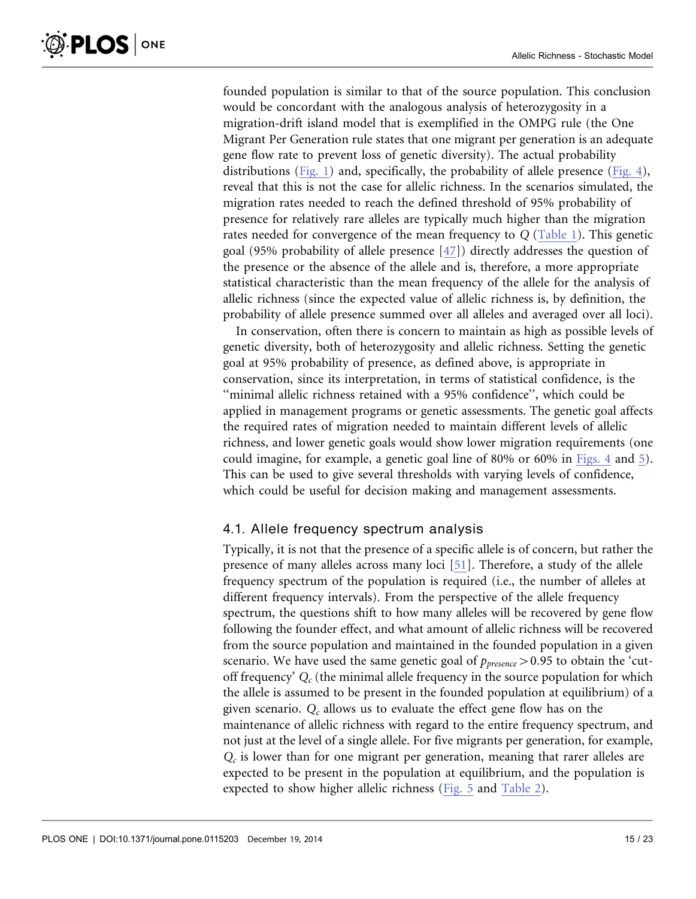founded population is similar to that of the source population. This conclusion would be concordant with the analogous analysis of heterozygosity in a migration-drift island model that is exemplified in the OMPG rule (the One Migrant Per Generation rule states that one migrant per generation is an adequate gene flow rate to prevent loss of genetic diversity). The actual probability distributions ([Fig. 1\)](#page-7-0) and, specifically, the probability of allele presence [\(Fig. 4](#page-12-0)), reveal that this is not the case for allelic richness. In the scenarios simulated, the migration rates needed to reach the defined threshold of 95% probability of presence for relatively rare alleles are typically much higher than the migration rates needed for convergence of the mean frequency to Q [\(Table 1](#page-9-0)). This genetic goal (95% probability of allele presence [\[47\]\)](#page-22-0) directly addresses the question of the presence or the absence of the allele and is, therefore, a more appropriate statistical characteristic than the mean frequency of the allele for the analysis of allelic richness (since the expected value of allelic richness is, by definition, the probability of allele presence summed over all alleles and averaged over all loci).

In conservation, often there is concern to maintain as high as possible levels of genetic diversity, both of heterozygosity and allelic richness. Setting the genetic goal at 95% probability of presence, as defined above, is appropriate in conservation, since its interpretation, in terms of statistical confidence, is the ''minimal allelic richness retained with a 95% confidence'', which could be applied in management programs or genetic assessments. The genetic goal affects the required rates of migration needed to maintain different levels of allelic richness, and lower genetic goals would show lower migration requirements (one could imagine, for example, a genetic goal line of 80% or 60% in [Figs. 4](#page-12-0) and [5\)](#page-12-0). This can be used to give several thresholds with varying levels of confidence, which could be useful for decision making and management assessments.

#### 4.1. Allele frequency spectrum analysis

Typically, it is not that the presence of a specific allele is of concern, but rather the presence of many alleles across many loci [\[51\]](#page-22-0). Therefore, a study of the allele frequency spectrum of the population is required (i.e., the number of alleles at different frequency intervals). From the perspective of the allele frequency spectrum, the questions shift to how many alleles will be recovered by gene flow following the founder effect, and what amount of allelic richness will be recovered from the source population and maintained in the founded population in a given scenario. We have used the same genetic goal of  $p_{\text{presence}} > 0.95$  to obtain the 'cutoff frequency'  $Q_c$  (the minimal allele frequency in the source population for which the allele is assumed to be present in the founded population at equilibrium) of a given scenario.  $Q_c$  allows us to evaluate the effect gene flow has on the maintenance of allelic richness with regard to the entire frequency spectrum, and not just at the level of a single allele. For five migrants per generation, for example,  $Q<sub>c</sub>$  is lower than for one migrant per generation, meaning that rarer alleles are expected to be present in the population at equilibrium, and the population is expected to show higher allelic richness [\(Fig. 5](#page-12-0) and [Table 2](#page-13-0)).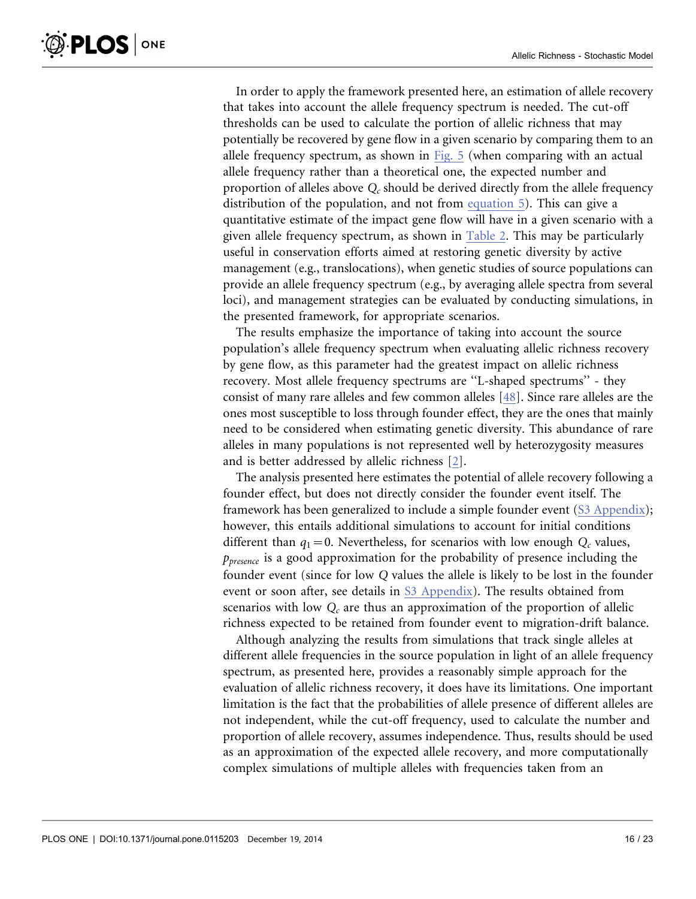In order to apply the framework presented here, an estimation of allele recovery that takes into account the allele frequency spectrum is needed. The cut-off thresholds can be used to calculate the portion of allelic richness that may potentially be recovered by gene flow in a given scenario by comparing them to an allele frequency spectrum, as shown in [Fig. 5](#page-12-0) (when comparing with an actual allele frequency rather than a theoretical one, the expected number and proportion of alleles above  $Q_c$  should be derived directly from the allele frequency distribution of the population, and not from [equation 5\). This can give a](#page-6-0) [quantitative estimate of the impact gene flow will have in a given scenario with a](#page-6-0) [given allele frequency spectrum, as shown in](#page-6-0) [Table 2](#page-13-0). This may be particularly useful in conservation efforts aimed at restoring genetic diversity by active management (e.g., translocations), when genetic studies of source populations can provide an allele frequency spectrum (e.g., by averaging allele spectra from several loci), and management strategies can be evaluated by conducting simulations, in the presented framework, for appropriate scenarios.

The results emphasize the importance of taking into account the source population's allele frequency spectrum when evaluating allelic richness recovery by gene flow, as this parameter had the greatest impact on allelic richness recovery. Most allele frequency spectrums are ''L-shaped spectrums'' - they consist of many rare alleles and few common alleles [\[48\]](#page-22-0). Since rare alleles are the ones most susceptible to loss through founder effect, they are the ones that mainly need to be considered when estimating genetic diversity. This abundance of rare alleles in many populations is not represented well by heterozygosity measures and is better addressed by allelic richness [\[2\]](#page-20-0).

The analysis presented here estimates the potential of allele recovery following a founder effect, but does not directly consider the founder event itself. The framework has been generalized to include a simple founder event ([S3 Appendix\)](#page-18-0); however, this entails additional simulations to account for initial conditions different than  $q_1=0$ . Nevertheless, for scenarios with low enough  $Q_c$  values,  $p_{\text{presence}}$  is a good approximation for the probability of presence including the founder event (since for low Q values the allele is likely to be lost in the founder event or soon after, see details in [S3 Appendix](#page-18-0)). The results obtained from scenarios with low  $Q_c$  are thus an approximation of the proportion of allelic richness expected to be retained from founder event to migration-drift balance.

Although analyzing the results from simulations that track single alleles at different allele frequencies in the source population in light of an allele frequency spectrum, as presented here, provides a reasonably simple approach for the evaluation of allelic richness recovery, it does have its limitations. One important limitation is the fact that the probabilities of allele presence of different alleles are not independent, while the cut-off frequency, used to calculate the number and proportion of allele recovery, assumes independence. Thus, results should be used as an approximation of the expected allele recovery, and more computationally complex simulations of multiple alleles with frequencies taken from an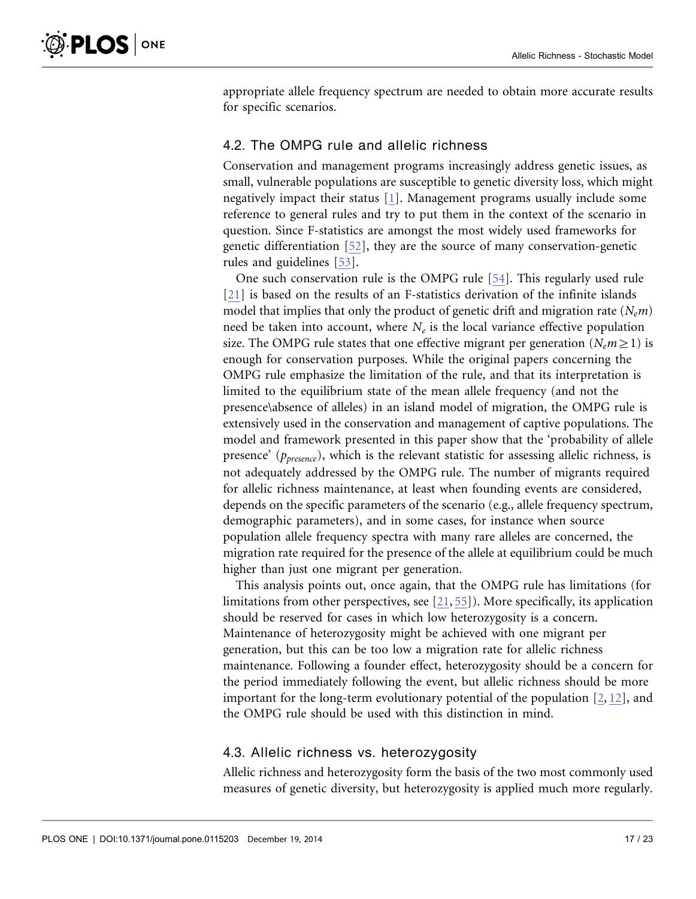appropriate allele frequency spectrum are needed to obtain more accurate results for specific scenarios.

#### 4.2. The OMPG rule and allelic richness

Conservation and management programs increasingly address genetic issues, as small, vulnerable populations are susceptible to genetic diversity loss, which might negatively impact their status [\[1\].](#page-20-0) Management programs usually include some reference to general rules and try to put them in the context of the scenario in question. Since F-statistics are amongst the most widely used frameworks for genetic differentiation [\[52\]](#page-22-0), they are the source of many conservation-genetic rules and guidelines [\[53\]](#page-22-0).

One such conservation rule is the OMPG rule [\[54\].](#page-22-0) This regularly used rule [\[21\]](#page-21-0) is based on the results of an F-statistics derivation of the infinite islands model that implies that only the product of genetic drift and migration rate  $(N_e m)$ need be taken into account, where  $N_e$  is the local variance effective population size. The OMPG rule states that one effective migrant per generation ( $N_e m \ge 1$ ) is enough for conservation purposes. While the original papers concerning the OMPG rule emphasize the limitation of the rule, and that its interpretation is limited to the equilibrium state of the mean allele frequency (and not the presence\absence of alleles) in an island model of migration, the OMPG rule is extensively used in the conservation and management of captive populations. The model and framework presented in this paper show that the 'probability of allele presence' ( $p_{\text{presence}}$ ), which is the relevant statistic for assessing allelic richness, is not adequately addressed by the OMPG rule. The number of migrants required for allelic richness maintenance, at least when founding events are considered, depends on the specific parameters of the scenario (e.g., allele frequency spectrum, demographic parameters), and in some cases, for instance when source population allele frequency spectra with many rare alleles are concerned, the migration rate required for the presence of the allele at equilibrium could be much higher than just one migrant per generation.

This analysis points out, once again, that the OMPG rule has limitations (for limitations from other perspectives, see [\[21,](#page-21-0) [55](#page-22-0)[\]\)](#page-21-0). More specifically, its application should be reserved for cases in which low heterozygosity is a concern. Maintenance of heterozygosity might be achieved with one migrant per generation, but this can be too low a migration rate for allelic richness maintenance. Following a founder effect, heterozygosity should be a concern for the period immediately following the event, but allelic richness should be more important for the long-term evolutionary potential of the population  $[2, 12]$  $[2, 12]$  $[2, 12]$ , and the OMPG rule should be used with this distinction in mind.

#### 4.3. Allelic richness vs. heterozygosity

Allelic richness and heterozygosity form the basis of the two most commonly used measures of genetic diversity, but heterozygosity is applied much more regularly.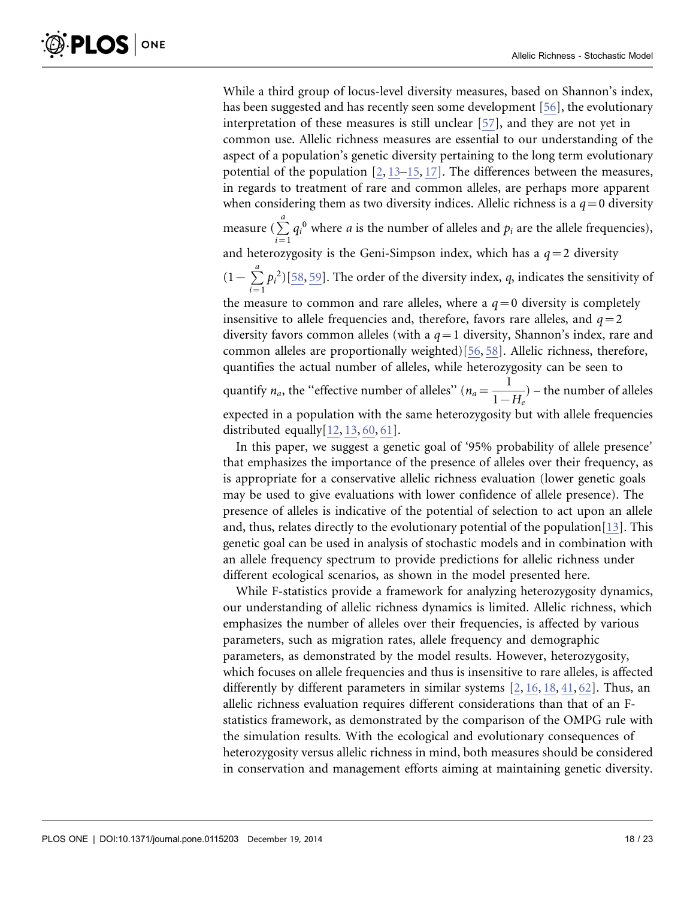While a third group of locus-level diversity measures, based on Shannon's index, has been suggested and has recently seen some development [\[56\],](#page-22-0) the evolutionary interpretation of these measures is still unclear [\[57\],](#page-22-0) and they are not yet in common use. Allelic richness measures are essential to our understanding of the aspect of a population's genetic diversity pertaining to the long term evolutionary potential of the population  $[2, 13-15, 17]$  $[2, 13-15, 17]$  $[2, 13-15, 17]$ . The differences between the measures, in regards to treatment of rare and common alleles, are perhaps more apparent when considering them as two diversity indices. Allelic richness is a  $q=0$  diversity measure ( $\sum_{a}^{a}$  $\sum_{i=1}$  $q_i^0$  where *a* is the number of alleles and  $p_i$  are the allele frequencies), and heterozygosity is the Geni-Simpson index, which has a  $q=2$  diversity  $(1-\sum_{ }^{a}$  $p_i^2$ [\)\[58,](#page-22-0) [59\]](#page-22-0). The order of the diversity index, q, indicates the sensitivity of

 $\sum_{i=1}$ the measure to common and rare alleles, where a  $q=0$  diversity is completely insensitive to allele frequencies and, therefore, favors rare alleles, and  $q=2$ diversity favors common alleles (with a  $q=1$  diversity, Shannon's index, rare and common alleles are proportionally weighted)[\[56,](#page-22-0) [58\].](#page-22-0) Allelic richness, therefore, quantifies the actual number of alleles, while heterozygosity can be seen to quantify  $n_a$ , the "effective number of alleles" ( $n_a = \frac{1}{1 - H_e}$ ) – the number of alleles expected in a population with the same heterozygosity but with allele frequencies distributed equall[y\[12,](#page-21-0) [13,](#page-21-0) [60,](#page-22-0) [61](#page-22-0)[\]](#page-21-0).

In this paper, we suggest a genetic goal of '95% probability of allele presence' that emphasizes the importance of the presence of alleles over their frequency, as is appropriate for a conservative allelic richness evaluation (lower genetic goals may be used to give evaluations with lower confidence of allele presence). The presence of alleles is indicative of the potential of selection to act upon an allele and, thus, relates directly to the evolutionary potential of the population[\[13\]](#page-21-0). This genetic goal can be used in analysis of stochastic models and in combination with an allele frequency spectrum to provide predictions for allelic richness under different ecological scenarios, as shown in the model presented here.

While F-statistics provide a framework for analyzing heterozygosity dynamics, our understanding of allelic richness dynamics is limited. Allelic richness, which emphasizes the number of alleles over their frequencies, is affected by various parameters, such as migration rates, allele frequency and demographic parameters, as demonstrated by the model results. However, heterozygosity, which focuses on allele frequencies and thus is insensitive to rare alleles, is affected differently by different parameters in similar systems [\[2,](#page-20-0) [16,](#page-21-0) [18,](#page-21-0) [41,](#page-22-0) [62](#page-22-0)[\].](#page-20-0) Thus, an allelic richness evaluation requires different considerations than that of an Fstatistics framework, as demonstrated by the comparison of the OMPG rule with the simulation results. With the ecological and evolutionary consequences of heterozygosity versus allelic richness in mind, both measures should be considered in conservation and management efforts aiming at maintaining genetic diversity.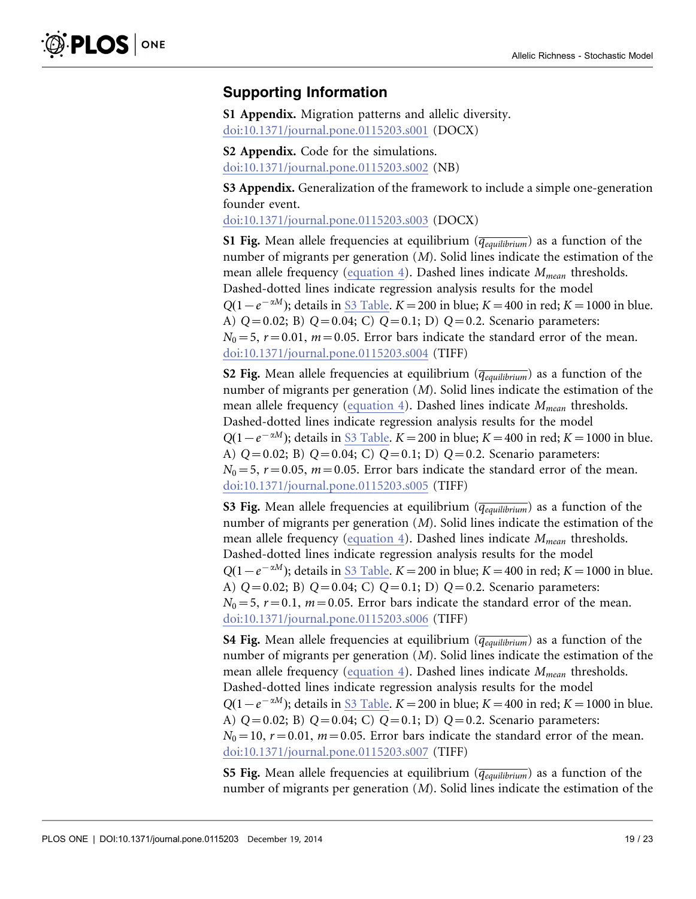### <span id="page-18-0"></span>Supporting Information

S1 Appendix. Migration patterns and allelic diversity. [doi:10.1371/journal.pone.0115203.s001](http://www.plosone.org/article/fetchSingleRepresentation.action?uri=info:doi/10.1371/journal.pone.0115203.s001) (DOCX)

S2 Appendix. Code for the simulations. [doi:10.1371/journal.pone.0115203.s002](http://www.plosone.org/article/fetchSingleRepresentation.action?uri=info:doi/10.1371/journal.pone.0115203.s002) (NB)

S3 Appendix. Generalization of the framework to include a simple one-generation founder event.

[doi:10.1371/journal.pone.0115203.s003](http://www.plosone.org/article/fetchSingleRepresentation.action?uri=info:doi/10.1371/journal.pone.0115203.s003) (DOCX)

S1 Fig. Mean allele frequencies at equilibrium ( $\overline{q_{equilibrium}}$ ) as a function of the number of migrants per generation (M). Solid lines indicate the estimation of the mean allele frequency ([equation 4\). Dashed lines indicate](#page-5-0)  $M_{mean}$  [thresholds.](#page-5-0) [Dashed-dotted lines indicate regression analysis results for the model](#page-5-0)  $Q(1-e^{-\alpha M})$ [; details in](#page-5-0) [S3 Table](#page-20-0)[.](#page-5-0) K = 200 [in blue;](#page-5-0) K = 400 [in red;](#page-5-0) K = 1000 [in blue.](#page-5-0) [A\)](#page-5-0)  $Q=0.02$ [; B\)](#page-5-0)  $Q=0.04$ [; C\)](#page-5-0)  $Q=0.1$ [; D\)](#page-5-0)  $Q=0.2$ [. Scenario parameters:](#page-5-0)  $N_0 = 5$ ,  $r = 0.01$ ,  $m = 0.05$ [. Error bars indicate the standard error of the mean.](#page-5-0) [doi:10.1371/journal.pone.0115203.s004](http://www.plosone.org/article/fetchSingleRepresentation.action?uri=info:doi/10.1371/journal.pone.0115203.s004) (TIFF)

S2 Fig. Mean allele frequencies at equilibrium  $(\overline{q_{equilibrium}})$  as a function of the number of migrants per generation (M). Solid lines indicate the estimation of the mean allele frequency ([equation 4\). Dashed lines indicate](#page-5-0)  $M_{mean}$  [thresholds.](#page-5-0) [Dashed-dotted lines indicate regression analysis results for the model](#page-5-0)  $Q(1-e^{-\alpha M})$ [; details in](#page-5-0) [S3 Table](#page-20-0)[.](#page-5-0) K = 200 [in blue;](#page-5-0) K = 400 [in red;](#page-5-0) K = 1000 [in blue.](#page-5-0) [A\)](#page-5-0)  $Q=0.02$ [; B\)](#page-5-0)  $Q=0.04$ [; C\)](#page-5-0)  $Q=0.1$ [; D\)](#page-5-0)  $Q=0.2$ [. Scenario parameters:](#page-5-0)  $N_0 = 5$ ,  $r = 0.05$ ,  $m = 0.05$ [. Error bars indicate the standard error of the mean.](#page-5-0) [doi:10.1371/journal.pone.0115203.s005](http://www.plosone.org/article/fetchSingleRepresentation.action?uri=info:doi/10.1371/journal.pone.0115203.s005) (TIFF)

S3 Fig. Mean allele frequencies at equilibrium  $(\overline{q_{equilibrium}})$  as a function of the number of migrants per generation (M). Solid lines indicate the estimation of the mean allele frequency ([equation 4\). Dashed lines indicate](#page-5-0)  $M_{mean}$  [thresholds.](#page-5-0) [Dashed-dotted lines indicate regression analysis results for the model](#page-5-0)  $Q(1-e^{-\alpha M})$ [; details in](#page-5-0) [S3 Table](#page-20-0)[.](#page-5-0) K = 200 [in blue;](#page-5-0) K = 400 [in red;](#page-5-0) K = 1000 [in blue.](#page-5-0) [A\)](#page-5-0)  $Q=0.02$ [; B\)](#page-5-0)  $Q=0.04$ [; C\)](#page-5-0)  $Q=0.1$ [; D\)](#page-5-0)  $Q=0.2$ [. Scenario parameters:](#page-5-0)  $N_0 = 5$ ,  $r = 0.1$ ,  $m = 0.05$ [. Error bars indicate the standard error of the mean.](#page-5-0) [doi:10.1371/journal.pone.0115203.s006](http://www.plosone.org/article/fetchSingleRepresentation.action?uri=info:doi/10.1371/journal.pone.0115203.s006) (TIFF)

**S4 Fig.** Mean allele frequencies at equilibrium ( $\overline{q_{equilibrium}}$ ) as a function of the number of migrants per generation (M). Solid lines indicate the estimation of the mean allele frequency ([equation 4\). Dashed lines indicate](#page-5-0)  $M_{mean}$  [thresholds.](#page-5-0) [Dashed-dotted lines indicate regression analysis results for the model](#page-5-0)  $Q(1-e^{-\alpha M})$ [; details in](#page-5-0) [S3 Table](#page-20-0)[.](#page-5-0) K = 200 [in blue;](#page-5-0) K = 400 [in red;](#page-5-0) K = 1000 [in blue.](#page-5-0) [A\)](#page-5-0)  $Q=0.02$ [; B\)](#page-5-0)  $Q=0.04$ [; C\)](#page-5-0)  $Q=0.1$ [; D\)](#page-5-0)  $Q=0.2$ [. Scenario parameters:](#page-5-0)  $N_0=10$ ,  $r=0.01$ ,  $m=0.05$ [. Error bars indicate the standard error of the mean.](#page-5-0) [doi:10.1371/journal.pone.0115203.s007](http://www.plosone.org/article/fetchSingleRepresentation.action?uri=info:doi/10.1371/journal.pone.0115203.s007) (TIFF)

S5 Fig. Mean allele frequencies at equilibrium  $(\overline{q_{equilibrium}})$  as a function of the number of migrants per generation (M). Solid lines indicate the estimation of the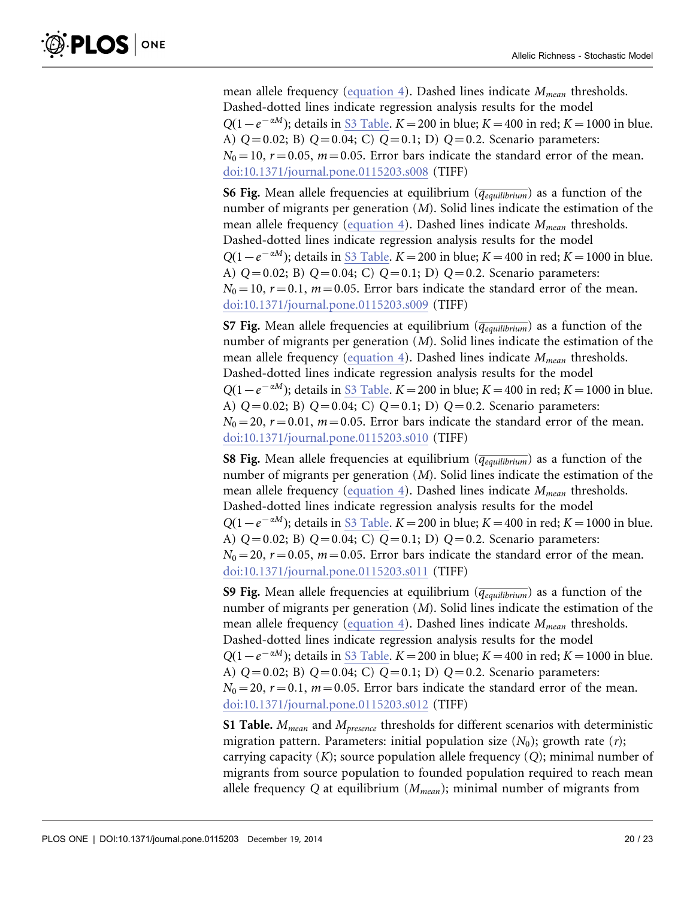<span id="page-19-0"></span>mean allele frequency ([equation 4\). Dashed lines indicate](#page-5-0)  $M_{mean}$  [thresholds.](#page-5-0) [Dashed-dotted lines indicate regression analysis results for the model](#page-5-0)  $Q(1-e^{-\alpha M})$ [; details in](#page-5-0) [S3 Table](#page-20-0)[.](#page-5-0) K = 200 [in blue;](#page-5-0) K = 400 [in red;](#page-5-0) K = 1000 [in blue.](#page-5-0) [A\)](#page-5-0)  $Q=0.02$ [; B\)](#page-5-0)  $Q=0.04$ [; C\)](#page-5-0)  $Q=0.1$ [; D\)](#page-5-0)  $Q=0.2$ [. Scenario parameters:](#page-5-0)  $N_0=10$ ,  $r=0.05$ ,  $m=0.05$ [. Error bars indicate the standard error of the mean.](#page-5-0) [doi:10.1371/journal.pone.0115203.s008](http://www.plosone.org/article/fetchSingleRepresentation.action?uri=info:doi/10.1371/journal.pone.0115203.s008) (TIFF)

**S6 Fig.** Mean allele frequencies at equilibrium  $(\overline{q_{equilibrium}})$  as a function of the number of migrants per generation (M). Solid lines indicate the estimation of the mean allele frequency ([equation 4\). Dashed lines indicate](#page-5-0)  $M_{mean}$  [thresholds.](#page-5-0) [Dashed-dotted lines indicate regression analysis results for the model](#page-5-0)  $Q(1-e^{-\alpha M})$ [; details in](#page-5-0) [S3 Table](#page-20-0)[.](#page-5-0) K = 200 [in blue;](#page-5-0) K = 400 [in red;](#page-5-0) K = 1000 [in blue.](#page-5-0) [A\)](#page-5-0)  $Q=0.02$ [; B\)](#page-5-0)  $Q=0.04$ [; C\)](#page-5-0)  $Q=0.1$ [; D\)](#page-5-0)  $Q=0.2$ [. Scenario parameters:](#page-5-0)  $N_0=10$ ,  $r=0.1$ ,  $m=0.05$ [. Error bars indicate the standard error of the mean.](#page-5-0) [doi:10.1371/journal.pone.0115203.s009](http://www.plosone.org/article/fetchSingleRepresentation.action?uri=info:doi/10.1371/journal.pone.0115203.s009) (TIFF)

S7 Fig. Mean allele frequencies at equilibrium  $(\overline{q_{eaulibrium}})$  as a function of the number of migrants per generation (M). Solid lines indicate the estimation of the mean allele frequency ([equation 4\). Dashed lines indicate](#page-5-0)  $M_{mean}$  [thresholds.](#page-5-0) [Dashed-dotted lines indicate regression analysis results for the model](#page-5-0)  $Q(1-e^{-\alpha M})$ [; details in](#page-5-0) [S3 Table](#page-20-0)[.](#page-5-0) K = 200 [in blue;](#page-5-0) K = 400 [in red;](#page-5-0) K = 1000 [in blue.](#page-5-0) [A\)](#page-5-0)  $Q=0.02$ [; B\)](#page-5-0)  $Q=0.04$ [; C\)](#page-5-0)  $Q=0.1$ [; D\)](#page-5-0)  $Q=0.2$ [. Scenario parameters:](#page-5-0)  $N_0$  = 20, r = 0.01, m = 0.05[. Error bars indicate the standard error of the mean.](#page-5-0) [doi:10.1371/journal.pone.0115203.s010](http://www.plosone.org/article/fetchSingleRepresentation.action?uri=info:doi/10.1371/journal.pone.0115203.s010) (TIFF)

S8 Fig. Mean allele frequencies at equilibrium ( $\overline{q_{equilibrium}}$ ) as a function of the number of migrants per generation (M). Solid lines indicate the estimation of the mean allele frequency ([equation 4\). Dashed lines indicate](#page-5-0)  $M_{mean}$  [thresholds.](#page-5-0) [Dashed-dotted lines indicate regression analysis results for the model](#page-5-0)  $Q(1-e^{-\alpha M})$ [; details in](#page-5-0) [S3 Table](#page-20-0)[.](#page-5-0) K = 200 [in blue;](#page-5-0) K = 400 [in red;](#page-5-0) K = 1000 [in blue.](#page-5-0) [A\)](#page-5-0)  $Q=0.02$ [; B\)](#page-5-0)  $Q=0.04$ [; C\)](#page-5-0)  $Q=0.1$ [; D\)](#page-5-0)  $Q=0.2$ [. Scenario parameters:](#page-5-0)  $N_0$  = 20,  $r$  = 0.05,  $m$  = 0.05[. Error bars indicate the standard error of the mean.](#page-5-0) [doi:10.1371/journal.pone.0115203.s011](http://www.plosone.org/article/fetchSingleRepresentation.action?uri=info:doi/10.1371/journal.pone.0115203.s011) (TIFF)

**S9 Fig.** Mean allele frequencies at equilibrium ( $\overline{q_{equilibrium}}$ ) as a function of the number of migrants per generation (M). Solid lines indicate the estimation of the mean allele frequency ([equation 4\). Dashed lines indicate](#page-5-0)  $M_{mean}$  [thresholds.](#page-5-0) [Dashed-dotted lines indicate regression analysis results for the model](#page-5-0)  $Q(1-e^{-\alpha M})$ [; details in](#page-5-0) [S3 Table](#page-20-0)[.](#page-5-0) K = 200 [in blue;](#page-5-0) K = 400 [in red;](#page-5-0) K = 1000 [in blue.](#page-5-0) [A\)](#page-5-0)  $Q=0.02$ [; B\)](#page-5-0)  $Q=0.04$ [; C\)](#page-5-0)  $Q=0.1$ [; D\)](#page-5-0)  $Q=0.2$ [. Scenario parameters:](#page-5-0)  $N_0$  = 20,  $r$  = 0.1,  $m$  = 0.05[. Error bars indicate the standard error of the mean.](#page-5-0) [doi:10.1371/journal.pone.0115203.s012](http://www.plosone.org/article/fetchSingleRepresentation.action?uri=info:doi/10.1371/journal.pone.0115203.s012) (TIFF)

S1 Table.  $M_{mean}$  and  $M_{presence}$  thresholds for different scenarios with deterministic migration pattern. Parameters: initial population size  $(N_0)$ ; growth rate  $(r)$ ; carrying capacity  $(K)$ ; source population allele frequency  $(Q)$ ; minimal number of migrants from source population to founded population required to reach mean allele frequency Q at equilibrium  $(M_{mean})$ ; minimal number of migrants from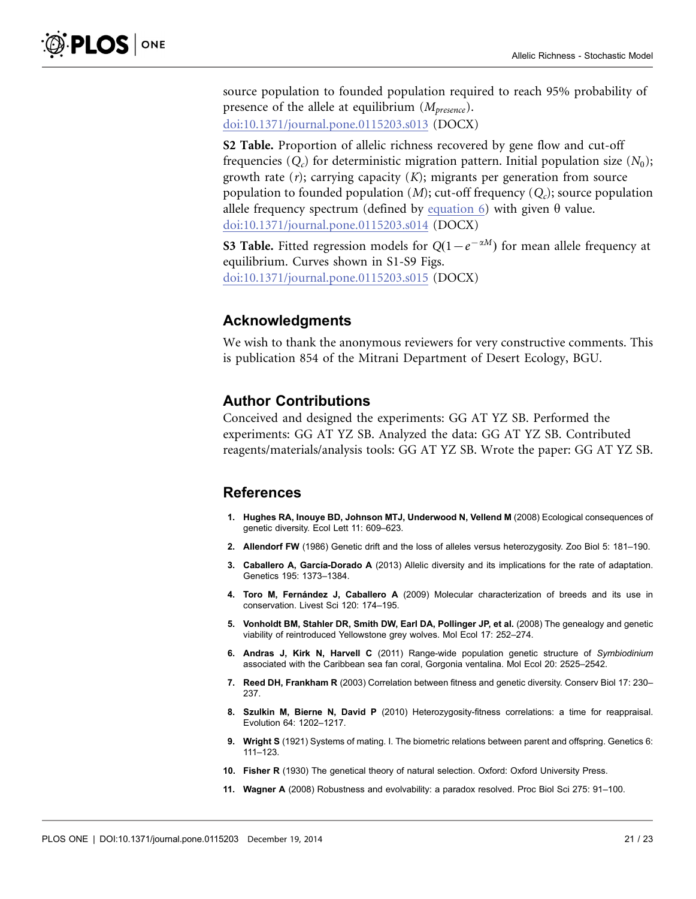<span id="page-20-0"></span>source population to founded population required to reach 95% probability of presence of the allele at equilibrium  $(M_{presence})$ . [doi:10.1371/journal.pone.0115203.s013](http://www.plosone.org/article/fetchSingleRepresentation.action?uri=info:doi/10.1371/journal.pone.0115203.s013) (DOCX)

S2 Table. Proportion of allelic richness recovered by gene flow and cut-off frequencies  $(Q_c)$  for deterministic migration pattern. Initial population size  $(N_0)$ ; growth rate  $(r)$ ; carrying capacity  $(K)$ ; migrants per generation from source population to founded population  $(M)$ ; cut-off frequency  $(Q<sub>c</sub>)$ ; source population allele frequency spectrum (defined by [equation 6\) with given](#page-7-0)  $\theta$  value. [doi:10.1371/journal.pone.0115203.s014](http://www.plosone.org/article/fetchSingleRepresentation.action?uri=info:doi/10.1371/journal.pone.0115203.s014) (DOCX)

**S3 Table.** Fitted regression models for  $Q(1-e^{-\alpha M})$  for mean allele frequency at equilibrium. Curves shown in S1-S9 Figs. [doi:10.1371/journal.pone.0115203.s015](http://www.plosone.org/article/fetchSingleRepresentation.action?uri=info:doi/10.1371/journal.pone.0115203.s015) (DOCX)

#### Acknowledgments

We wish to thank the anonymous reviewers for very constructive comments. This is publication 854 of the Mitrani Department of Desert Ecology, BGU.

#### Author Contributions

Conceived and designed the experiments: GG AT YZ SB. Performed the experiments: GG AT YZ SB. Analyzed the data: GG AT YZ SB. Contributed reagents/materials/analysis tools: GG AT YZ SB. Wrote the paper: GG AT YZ SB.

#### References

- 1. Hughes RA, Inouye BD, Johnson MTJ, Underwood N, Vellend M (2008) Ecological consequences of genetic diversity. Ecol Lett 11: 609–623.
- 2. Allendorf FW (1986) Genetic drift and the loss of alleles versus heterozygosity. Zoo Biol 5: 181–190.
- 3. Caballero A, García-Dorado A (2013) Allelic diversity and its implications for the rate of adaptation. Genetics 195: 1373–1384.
- 4. Toro M, Fernández J, Caballero A (2009) Molecular characterization of breeds and its use in conservation. Livest Sci 120: 174–195.
- 5. Vonholdt BM, Stahler DR, Smith DW, Earl DA, Pollinger JP, et al. (2008) The genealogy and genetic viability of reintroduced Yellowstone grey wolves. Mol Ecol 17: 252–274.
- 6. Andras J, Kirk N, Harvell C (2011) Range-wide population genetic structure of Symbiodinium associated with the Caribbean sea fan coral, Gorgonia ventalina. Mol Ecol 20: 2525–2542.
- 7. Reed DH, Frankham R (2003) Correlation between fitness and genetic diversity. Conserv Biol 17: 230-237.
- 8. Szulkin M, Bierne N, David P (2010) Heterozygosity-fitness correlations: a time for reappraisal. Evolution 64: 1202–1217.
- 9. Wright S (1921) Systems of mating. I. The biometric relations between parent and offspring. Genetics 6: 111–123.
- 10. Fisher R (1930) The genetical theory of natural selection. Oxford: Oxford University Press.
- 11. Wagner A (2008) Robustness and evolvability: a paradox resolved. Proc Biol Sci 275: 91–100.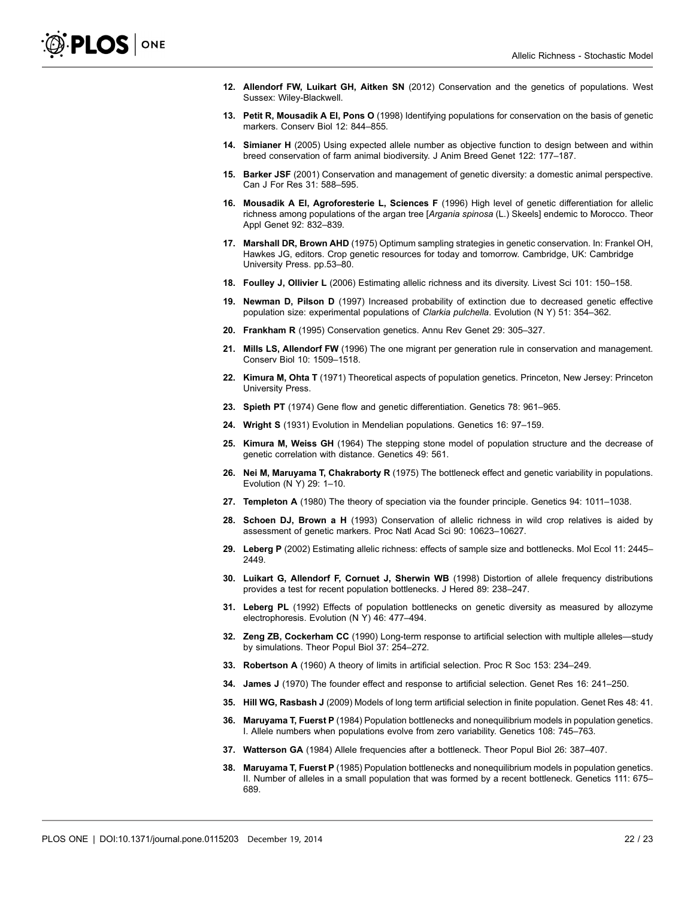- <span id="page-21-0"></span>12. Allendorf FW, Luikart GH, Aitken SN (2012) Conservation and the genetics of populations. West Sussex: Wiley-Blackwell.
- 13. Petit R, Mousadik A El, Pons O (1998) Identifying populations for conservation on the basis of genetic markers. Conserv Biol 12: 844–855.
- 14. Simianer H (2005) Using expected allele number as objective function to design between and within breed conservation of farm animal biodiversity. J Anim Breed Genet 122: 177–187.
- 15. Barker JSF (2001) Conservation and management of genetic diversity: a domestic animal perspective. Can J For Res 31: 588–595.
- 16. Mousadik A El, Agroforesterie L, Sciences F (1996) High level of genetic differentiation for allelic richness among populations of the argan tree [Argania spinosa (L.) Skeels] endemic to Morocco. Theor Appl Genet 92: 832–839.
- 17. Marshall DR, Brown AHD (1975) Optimum sampling strategies in genetic conservation. In: Frankel OH, Hawkes JG, editors. Crop genetic resources for today and tomorrow. Cambridge, UK: Cambridge University Press. pp.53–80.
- 18. Foulley J, Ollivier L (2006) Estimating allelic richness and its diversity. Livest Sci 101: 150–158.
- 19. Newman D, Pilson D (1997) Increased probability of extinction due to decreased genetic effective population size: experimental populations of Clarkia pulchella. Evolution (N Y) 51: 354–362.
- 20. Frankham R (1995) Conservation genetics. Annu Rev Genet 29: 305–327.
- 21. Mills LS, Allendorf FW (1996) The one migrant per generation rule in conservation and management. Conserv Biol 10: 1509–1518.
- 22. Kimura M, Ohta T (1971) Theoretical aspects of population genetics. Princeton, New Jersey: Princeton University Press.
- 23. Spieth PT (1974) Gene flow and genetic differentiation. Genetics 78: 961–965.
- 24. Wright S (1931) Evolution in Mendelian populations. Genetics 16: 97–159.
- 25. Kimura M, Weiss GH (1964) The stepping stone model of population structure and the decrease of genetic correlation with distance. Genetics 49: 561.
- 26. Nei M, Maruyama T, Chakraborty R (1975) The bottleneck effect and genetic variability in populations. Evolution (N Y) 29: 1–10.
- 27. Templeton A (1980) The theory of speciation via the founder principle. Genetics 94: 1011–1038.
- 28. Schoen DJ, Brown a H (1993) Conservation of allelic richness in wild crop relatives is aided by assessment of genetic markers. Proc Natl Acad Sci 90: 10623–10627.
- 29. Leberg P (2002) Estimating allelic richness: effects of sample size and bottlenecks. Mol Ecol 11: 2445– 2449.
- 30. Luikart G, Allendorf F, Cornuet J, Sherwin WB (1998) Distortion of allele frequency distributions provides a test for recent population bottlenecks. J Hered 89: 238–247.
- 31. Leberg PL (1992) Effects of population bottlenecks on genetic diversity as measured by allozyme electrophoresis. Evolution (N Y) 46: 477–494.
- 32. Zeng ZB, Cockerham CC (1990) Long-term response to artificial selection with multiple alleles—study by simulations. Theor Popul Biol 37: 254–272.
- 33. Robertson A (1960) A theory of limits in artificial selection. Proc R Soc 153: 234–249.
- 34. James J (1970) The founder effect and response to artificial selection. Genet Res 16: 241–250.
- 35. Hill WG, Rasbash J (2009) Models of long term artificial selection in finite population. Genet Res 48: 41.
- 36. Maruyama T, Fuerst P (1984) Population bottlenecks and nonequilibrium models in population genetics. I. Allele numbers when populations evolve from zero variability. Genetics 108: 745–763.
- 37. Watterson GA (1984) Allele frequencies after a bottleneck. Theor Popul Biol 26: 387–407.
- 38. Maruyama T, Fuerst P (1985) Population bottlenecks and nonequilibrium models in population genetics. II. Number of alleles in a small population that was formed by a recent bottleneck. Genetics 111: 675– 689.